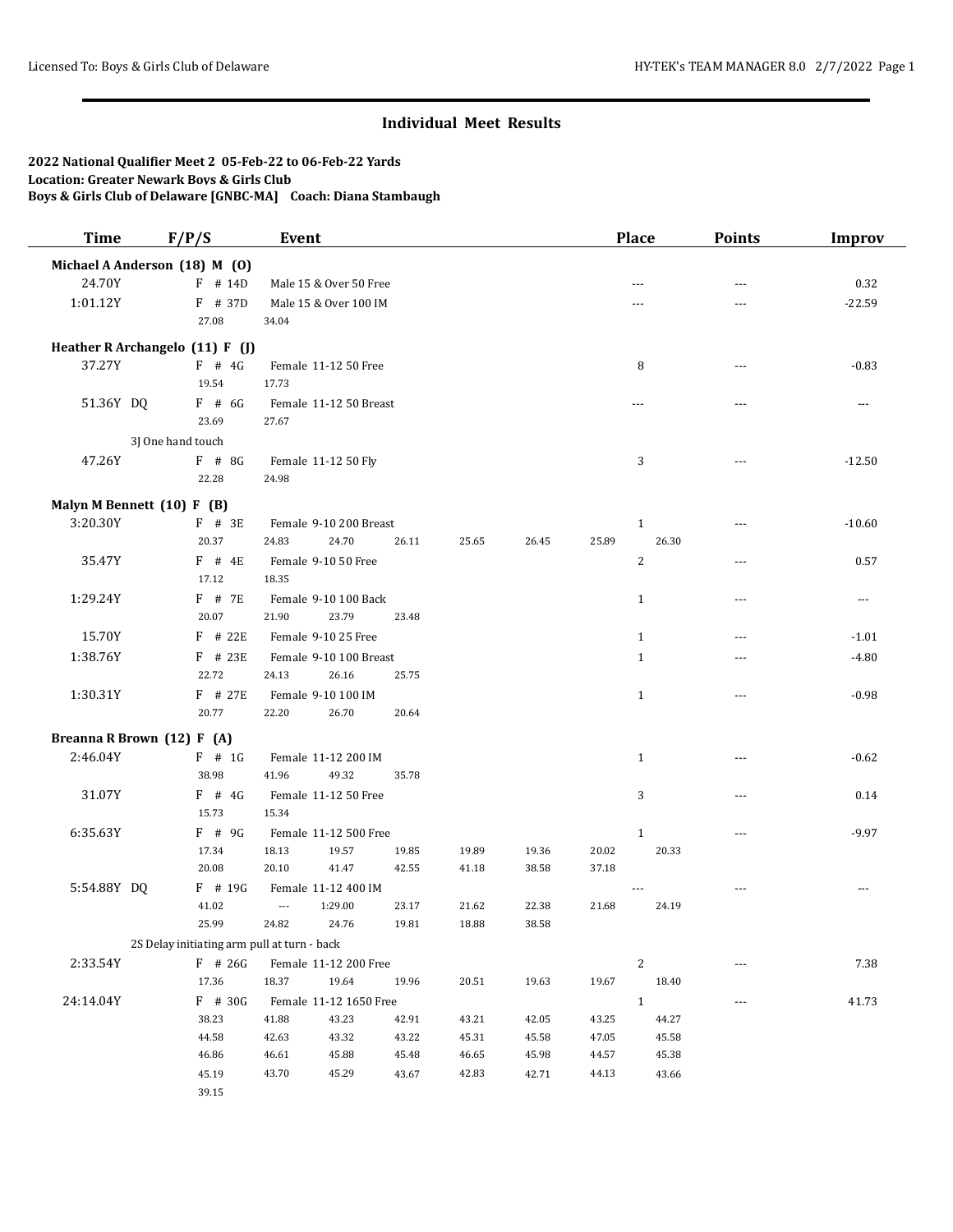| <b>Time</b>                     | F/P/S                                       |           | Event                    |                        |                |                |                |                | <b>Place</b>   | <b>Points</b>  | <b>Improv</b> |
|---------------------------------|---------------------------------------------|-----------|--------------------------|------------------------|----------------|----------------|----------------|----------------|----------------|----------------|---------------|
| Michael A Anderson (18) M (0)   |                                             |           |                          |                        |                |                |                |                |                |                |               |
| 24.70Y                          |                                             | $F$ # 14D |                          | Male 15 & Over 50 Free |                |                |                |                | ---            | ---            | 0.32          |
| 1:01.12Y                        |                                             | F # 37D   |                          | Male 15 & Over 100 IM  |                |                |                |                | ---            | ---            | $-22.59$      |
|                                 | 27.08                                       |           | 34.04                    |                        |                |                |                |                |                |                |               |
| Heather R Archangelo (11) F (J) |                                             |           |                          |                        |                |                |                |                |                |                |               |
| 37.27Y                          | $F$ # 4G                                    |           |                          | Female 11-12 50 Free   |                |                |                |                | 8              | ---            | $-0.83$       |
|                                 | 19.54                                       |           | 17.73                    |                        |                |                |                |                |                |                |               |
| 51.36Y DQ                       | $F$ # 6G                                    |           |                          | Female 11-12 50 Breast |                |                |                |                | ---            | ---            | $- - -$       |
|                                 | 23.69                                       |           | 27.67                    |                        |                |                |                |                |                |                |               |
|                                 | 3J One hand touch                           |           |                          |                        |                |                |                |                |                |                |               |
| 47.26Y                          | $F$ # 8G                                    |           |                          | Female 11-12 50 Fly    |                |                |                |                | 3              | $\sim$ $\sim$  | $-12.50$      |
|                                 | 22.28                                       |           | 24.98                    |                        |                |                |                |                |                |                |               |
| Malyn M Bennett (10) F (B)      |                                             |           |                          |                        |                |                |                |                |                |                |               |
| 3:20.30Y                        | $F$ # 3E                                    |           |                          | Female 9-10 200 Breast |                |                |                |                | $\mathbf{1}$   |                | $-10.60$      |
|                                 | 20.37                                       |           | 24.83                    | 24.70                  | 26.11          | 25.65          | 26.45          | 25.89          | 26.30          |                |               |
| 35.47Y                          | $F$ # 4E                                    |           |                          | Female 9-10 50 Free    |                |                |                |                | $\overline{c}$ | $\sim$ $\sim$  | 0.57          |
|                                 | 17.12                                       |           | 18.35                    |                        |                |                |                |                |                |                |               |
| 1:29.24Y                        | $F$ # 7E                                    |           |                          | Female 9-10 100 Back   |                |                |                |                | $\mathbf{1}$   | ---            | ---           |
|                                 | 20.07                                       |           | 21.90                    | 23.79                  | 23.48          |                |                |                |                |                |               |
| 15.70Y                          |                                             | $F$ # 22E |                          | Female 9-10 25 Free    |                |                |                |                | $\mathbf{1}$   |                | $-1.01$       |
| 1:38.76Y                        |                                             | $F$ # 23E |                          | Female 9-10 100 Breast |                |                |                |                | $\mathbf{1}$   | $- - -$        | $-4.80$       |
|                                 | 22.72                                       |           | 24.13                    | 26.16                  | 25.75          |                |                |                |                |                |               |
| 1:30.31Y                        |                                             | $F$ # 27E |                          | Female 9-10 100 IM     |                |                |                |                | $\mathbf{1}$   | $\overline{a}$ | $-0.98$       |
|                                 | 20.77                                       |           | 22.20                    | 26.70                  | 20.64          |                |                |                |                |                |               |
| Breanna R Brown (12) F (A)      |                                             |           |                          |                        |                |                |                |                |                |                |               |
| 2:46.04Y                        | $F$ # 1G                                    |           |                          | Female 11-12 200 IM    |                |                |                |                | $\mathbf{1}$   | ---            | $-0.62$       |
|                                 | 38.98                                       |           | 41.96                    | 49.32                  | 35.78          |                |                |                |                |                |               |
| 31.07Y                          | $F$ # 4G                                    |           |                          | Female 11-12 50 Free   |                |                |                |                | 3              | $\sim$ $\sim$  | 0.14          |
|                                 | 15.73                                       |           | 15.34                    |                        |                |                |                |                |                |                |               |
| 6:35.63Y                        | $F$ # 9G                                    |           |                          | Female 11-12 500 Free  |                |                |                |                | $\mathbf{1}$   | ---            | $-9.97$       |
|                                 | 17.34                                       |           | 18.13                    | 19.57                  | 19.85          | 19.89          | 19.36          | 20.02          | 20.33          |                |               |
|                                 | 20.08                                       |           | 20.10                    | 41.47                  | 42.55          | 41.18          | 38.58          | 37.18          |                |                |               |
| 5:54.88Y DQ                     |                                             | F # 19G   |                          | Female 11-12 400 IM    |                |                |                |                |                | $- - -$        | $\sim$ $\sim$ |
|                                 | 41.02                                       |           | $\overline{\phantom{a}}$ | 1:29.00                | 23.17          | 21.62          | 22.38          | 21.68          | 24.19          |                |               |
|                                 | 25.99                                       |           | 24.82                    | 24.76                  | 19.81          | 18.88          | 38.58          |                |                |                |               |
|                                 | 2S Delay initiating arm pull at turn - back |           |                          |                        |                |                |                |                |                |                |               |
| 2:33.54Y                        |                                             | F # 26G   |                          | Female 11-12 200 Free  |                |                |                |                | 2              | ---            | 7.38          |
|                                 | 17.36                                       |           | 18.37                    | 19.64                  | 19.96          | 20.51          | 19.63          | 19.67          | 18.40          |                |               |
| 24:14.04Y                       |                                             | F # 30G   |                          | Female 11-12 1650 Free |                |                |                |                | $\mathbf{1}$   | $\cdots$       | 41.73         |
|                                 | 38.23<br>44.58                              |           | 41.88<br>42.63           | 43.23<br>43.32         | 42.91<br>43.22 | 43.21<br>45.31 | 42.05<br>45.58 | 43.25<br>47.05 | 44.27<br>45.58 |                |               |
|                                 | 46.86                                       |           | 46.61                    | 45.88                  | 45.48          | 46.65          | 45.98          | 44.57          | 45.38          |                |               |
|                                 | 45.19                                       |           | 43.70                    | 45.29                  | 43.67          | 42.83          | 42.71          | 44.13          | 43.66          |                |               |
|                                 | 39.15                                       |           |                          |                        |                |                |                |                |                |                |               |
|                                 |                                             |           |                          |                        |                |                |                |                |                |                |               |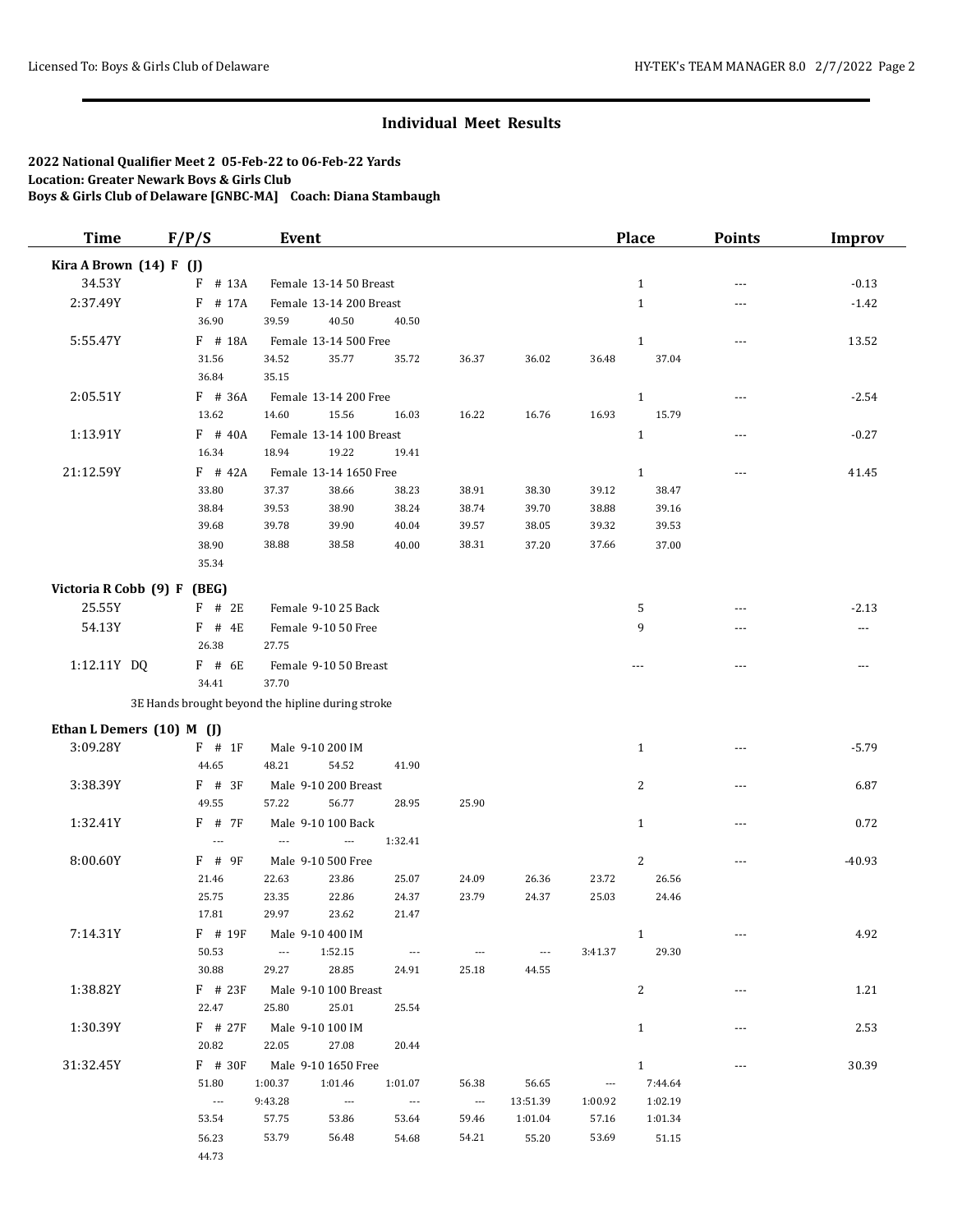| <b>Time</b>                 | F/P/S             | Event                                             |                                                                        |                                   |                        |                          | <b>Place</b>   | <b>Points</b>  | <b>Improv</b> |
|-----------------------------|-------------------|---------------------------------------------------|------------------------------------------------------------------------|-----------------------------------|------------------------|--------------------------|----------------|----------------|---------------|
| Kira A Brown (14) F (J)     |                   |                                                   |                                                                        |                                   |                        |                          |                |                |               |
| 34.53Y                      | F # 13A           | Female 13-14 50 Breast                            |                                                                        |                                   |                        |                          | $\mathbf{1}$   | $- - -$        | $-0.13$       |
| 2:37.49Y                    | F # 17A           | Female 13-14 200 Breast                           |                                                                        |                                   |                        |                          | $\mathbf{1}$   | $\overline{a}$ | $-1.42$       |
|                             | 36.90             | 39.59<br>40.50                                    | 40.50                                                                  |                                   |                        |                          |                |                |               |
| 5:55.47Y                    | $F$ # 18A         | Female 13-14 500 Free                             |                                                                        |                                   |                        |                          | $\mathbf{1}$   | $---$          | 13.52         |
|                             | 31.56             | 34.52<br>35.77                                    | 35.72                                                                  | 36.37                             | 36.02                  | 36.48                    | 37.04          |                |               |
|                             | 36.84             | 35.15                                             |                                                                        |                                   |                        |                          |                |                |               |
| 2:05.51Y                    | F # 36A           | Female 13-14 200 Free                             |                                                                        |                                   |                        |                          | $\mathbf{1}$   | $---$          | $-2.54$       |
|                             | 13.62             | 14.60<br>15.56                                    | 16.03                                                                  | 16.22                             | 16.76                  | 16.93                    | 15.79          |                |               |
| 1:13.91Y                    | $F$ # 40A         | Female 13-14 100 Breast                           |                                                                        |                                   |                        |                          | $\mathbf{1}$   | ---            | $-0.27$       |
|                             | 16.34             | 18.94<br>19.22                                    | 19.41                                                                  |                                   |                        |                          |                |                |               |
| 21:12.59Y                   | $F$ # 42A         | Female 13-14 1650 Free                            |                                                                        |                                   |                        |                          | $\mathbf{1}$   | $- - -$        | 41.45         |
|                             | 33.80             | 37.37<br>38.66                                    | 38.23                                                                  | 38.91                             | 38.30                  | 39.12                    | 38.47          |                |               |
|                             | 38.84             | 39.53<br>38.90                                    | 38.24                                                                  | 38.74                             | 39.70                  | 38.88                    | 39.16          |                |               |
|                             | 39.68             | 39.78<br>39.90                                    | 40.04                                                                  | 39.57                             | 38.05                  | 39.32                    | 39.53          |                |               |
|                             | 38.90             | 38.88<br>38.58                                    | 40.00                                                                  | 38.31                             | 37.20                  | 37.66                    | 37.00          |                |               |
|                             | 35.34             |                                                   |                                                                        |                                   |                        |                          |                |                |               |
| Victoria R Cobb (9) F (BEG) |                   |                                                   |                                                                        |                                   |                        |                          |                |                |               |
| 25.55Y                      | $F$ # 2E          | Female 9-10 25 Back                               |                                                                        |                                   |                        |                          | 5              | $- - -$        | $-2.13$       |
| 54.13Y                      | $F$ # 4E          | Female 9-10 50 Free                               |                                                                        |                                   |                        |                          | 9              | ---            | $---$         |
|                             | 26.38             | 27.75                                             |                                                                        |                                   |                        |                          |                |                |               |
| 1:12.11Y DQ                 | F # 6E            | Female 9-10 50 Breast                             |                                                                        |                                   |                        |                          | $- - -$        | $  -$          | $\cdots$      |
|                             | 34.41             | 37.70                                             |                                                                        |                                   |                        |                          |                |                |               |
|                             |                   | 3E Hands brought beyond the hipline during stroke |                                                                        |                                   |                        |                          |                |                |               |
| Ethan L Demers (10) M (J)   |                   |                                                   |                                                                        |                                   |                        |                          |                |                |               |
| 3:09.28Y                    | $F$ # 1F          | Male 9-10 200 IM                                  |                                                                        |                                   |                        |                          | $\mathbf{1}$   | $- - -$        | $-5.79$       |
|                             | 44.65             | 54.52<br>48.21                                    | 41.90                                                                  |                                   |                        |                          |                |                |               |
| 3:38.39Y                    | $F$ # 3F          | Male 9-10 200 Breast                              |                                                                        |                                   |                        |                          | 2              | ---            | 6.87          |
|                             | 49.55             | 56.77<br>57.22                                    | 28.95                                                                  | 25.90                             |                        |                          |                |                |               |
| 1:32.41Y                    | F # 7F            | Male 9-10 100 Back                                |                                                                        |                                   |                        |                          | $\mathbf{1}$   | ---            | 0.72          |
|                             | $\overline{a}$    | $\overline{a}$<br>$\overline{\phantom{a}}$        | 1:32.41                                                                |                                   |                        |                          |                |                |               |
| 8:00.60Y                    | $F$ # 9F          | Male 9-10 500 Free                                |                                                                        |                                   |                        |                          | $\overline{c}$ | ---            | $-40.93$      |
|                             | 21.46             | 22.63<br>23.86                                    | 25.07                                                                  | 24.09                             | 26.36                  | 23.72                    | 26.56          |                |               |
|                             | 25.75             | 23.35<br>22.86                                    | 24.37                                                                  | 23.79                             | 24.37                  | 25.03                    | 24.46          |                |               |
|                             | 17.81             | 29.97<br>23.62                                    | 21.47                                                                  |                                   |                        |                          |                |                |               |
| 7:14.31Y                    | $F$ # 19 $F$      | Male 9-10 400 IM                                  |                                                                        |                                   |                        |                          | 1              |                | 4.92          |
|                             | 50.53<br>30.88    | 1:52.15<br>$\sim$ $\sim$ $\sim$<br>29.27<br>28.85 | $\hspace{0.1mm}-\hspace{0.1mm}-\hspace{0.1mm}-\hspace{0.1mm}$<br>24.91 | $\hspace{0.05cm} \ldots$<br>25.18 | $\sim$ $\sim$<br>44.55 | 3:41.37                  | 29.30          |                |               |
| 1:38.82Y                    | $F$ # 23F         |                                                   |                                                                        |                                   |                        |                          |                |                | 1.21          |
|                             | 22.47             | Male 9-10 100 Breast<br>25.80<br>25.01            | 25.54                                                                  |                                   |                        |                          | 2              |                |               |
| 1:30.39Y                    | $F$ # 27 $F$      | Male 9-10 100 IM                                  |                                                                        |                                   |                        |                          | $\mathbf{1}$   |                | 2.53          |
|                             | 20.82             | 22.05<br>27.08                                    | 20.44                                                                  |                                   |                        |                          |                |                |               |
| 31:32.45Y                   | $F$ # 30F         | Male 9-10 1650 Free                               |                                                                        |                                   |                        |                          | $\mathbf{1}$   | ---            | 30.39         |
|                             | 51.80             | 1:00.37<br>1:01.46                                | 1:01.07                                                                | 56.38                             | 56.65                  | $\hspace{0.05cm} \cdots$ | 7:44.64        |                |               |
|                             | $\sim$ 1000 $\pm$ | 9:43.28<br>$\sim$                                 | $-$                                                                    | $\sim$ 1000 $\pm$                 | 13:51.39               | 1:00.92                  | 1:02.19        |                |               |
|                             | 53.54             | 57.75<br>53.86                                    | 53.64                                                                  | 59.46                             | 1:01.04                | 57.16                    | 1:01.34        |                |               |
|                             | 56.23             | 53.79<br>56.48                                    | 54.68                                                                  | 54.21                             | 55.20                  | 53.69                    | 51.15          |                |               |
|                             | 44.73             |                                                   |                                                                        |                                   |                        |                          |                |                |               |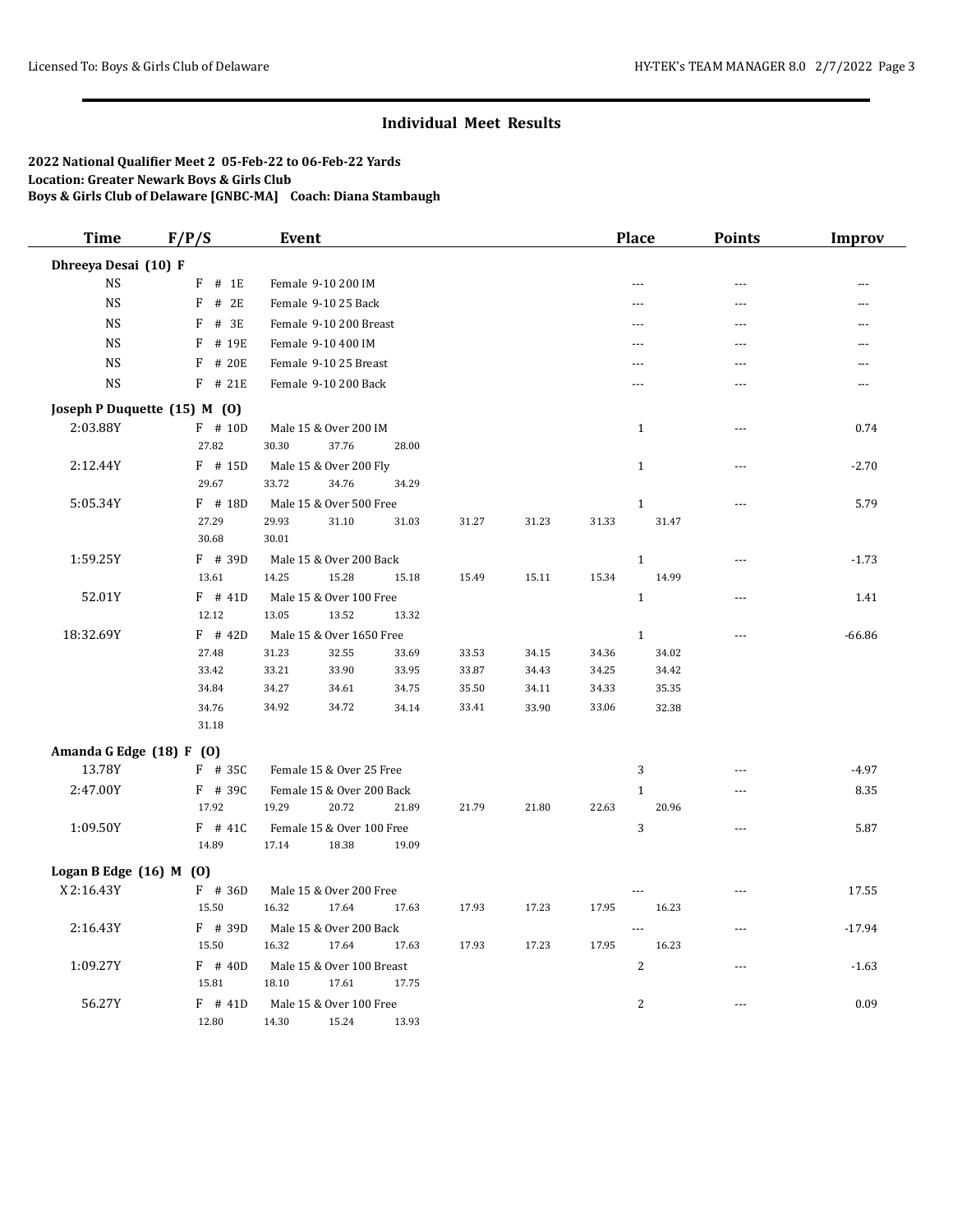| <b>Time</b>                           | F/P/S          | <b>Event</b>                     |                |                |                |                | <b>Place</b>   | <b>Points</b>  | <b>Improv</b> |
|---------------------------------------|----------------|----------------------------------|----------------|----------------|----------------|----------------|----------------|----------------|---------------|
| Dhreeya Desai (10) F                  |                |                                  |                |                |                |                |                |                |               |
| <b>NS</b>                             | # 1E<br>F      | Female 9-10 200 IM               |                |                |                |                | ---            | $\overline{a}$ | ---           |
| <b>NS</b>                             | F<br># 2E      | Female 9-10 25 Back              |                |                |                |                |                | ---            |               |
| <b>NS</b>                             | # 3E<br>F      | Female 9-10 200 Breast           |                |                |                |                | ---            | ---            | ---           |
| <b>NS</b>                             | F<br># 19E     | Female 9-10 400 IM               |                |                |                |                | $---$          | $- - -$        | $- - -$       |
| <b>NS</b>                             | # 20E<br>F     | Female 9-10 25 Breast            |                |                |                |                | ---            | ---            | ---           |
| <b>NS</b>                             | $F$ # 21E      | Female 9-10 200 Back             |                |                |                |                |                |                |               |
| Joseph P Duquette (15) M (0)          |                |                                  |                |                |                |                |                |                |               |
| 2:03.88Y                              | F # 10D        | Male 15 & Over 200 IM            |                |                |                |                | $\mathbf{1}$   | $---$          | 0.74          |
|                                       | 27.82          | 30.30<br>37.76                   | 28.00          |                |                |                |                |                |               |
| 2:12.44Y                              | $F$ # 15D      | Male 15 & Over 200 Fly           |                |                |                |                | $\mathbf{1}$   | $- - -$        | $-2.70$       |
|                                       | 29.67          | 33.72<br>34.76                   | 34.29          |                |                |                |                |                |               |
| 5:05.34Y                              | $F$ # 18D      | Male 15 & Over 500 Free          |                |                |                |                | $\mathbf{1}$   | ---            | 5.79          |
|                                       | 27.29          | 29.93<br>31.10                   | 31.03          | 31.27          | 31.23          | 31.33          | 31.47          |                |               |
|                                       | 30.68          | 30.01                            |                |                |                |                |                |                |               |
| 1:59.25Y                              | $F$ # 39D      | Male 15 & Over 200 Back          |                |                |                |                | $\mathbf{1}$   | $- - -$        | $-1.73$       |
|                                       | 13.61          | 14.25<br>15.28                   | 15.18          | 15.49          | 15.11          | 15.34          | 14.99          |                |               |
| 52.01Y                                | $F$ # 41D      | Male 15 & Over 100 Free          |                |                |                |                | $1\,$          | ---            | 1.41          |
|                                       | 12.12          | 13.05<br>13.52                   | 13.32          |                |                |                |                |                |               |
| 18:32.69Y                             | $F$ # 42D      | Male 15 & Over 1650 Free         |                |                |                |                | $\mathbf{1}$   | ---            | $-66.86$      |
|                                       | 27.48          | 31.23<br>32.55                   | 33.69          | 33.53          | 34.15          | 34.36          | 34.02          |                |               |
|                                       | 33.42<br>34.84 | 33.90<br>33.21                   | 33.95          | 33.87          | 34.43<br>34.11 | 34.25          | 34.42          |                |               |
|                                       | 34.76          | 34.27<br>34.61<br>34.92<br>34.72 | 34.75<br>34.14 | 35.50<br>33.41 | 33.90          | 34.33<br>33.06 | 35.35<br>32.38 |                |               |
|                                       | 31.18          |                                  |                |                |                |                |                |                |               |
|                                       |                |                                  |                |                |                |                |                |                |               |
| Amanda G Edge (18) F (0)<br>13.78Y    | $F$ # 35C      | Female 15 & Over 25 Free         |                |                |                |                | 3              | $- - -$        | $-4.97$       |
| 2:47.00Y                              | $F$ # 39C      | Female 15 & Over 200 Back        |                |                |                |                | $\mathbf{1}$   | ---            | 8.35          |
|                                       | 17.92          | 19.29<br>20.72                   | 21.89          | 21.79          | 21.80          | 22.63          | 20.96          |                |               |
| 1:09.50Y                              | $F$ # 41C      | Female 15 & Over 100 Free        |                |                |                |                | $\sqrt{3}$     | $\overline{a}$ | 5.87          |
|                                       | 14.89          | 17.14<br>18.38                   | 19.09          |                |                |                |                |                |               |
|                                       |                |                                  |                |                |                |                |                |                |               |
| Logan B Edge (16) M (0)<br>X 2:16.43Y | $F$ # 36D      | Male 15 & Over 200 Free          |                |                |                |                |                | ---            | 17.55         |
|                                       | 15.50          | 16.32<br>17.64                   | 17.63          | 17.93          | 17.23          | 17.95          | 16.23          |                |               |
| 2:16.43Y                              | $F$ # 39D      | Male 15 & Over 200 Back          |                |                |                |                | ---            | ---            | $-17.94$      |
|                                       | 15.50          | 16.32<br>17.64                   | 17.63          | 17.93          | 17.23          | 17.95          | 16.23          |                |               |
| 1:09.27Y                              | $F$ # 40D      | Male 15 & Over 100 Breast        |                |                |                |                | $\overline{2}$ | ---            | $-1.63$       |
|                                       | 15.81          | 18.10<br>17.61                   | 17.75          |                |                |                |                |                |               |
| 56.27Y                                | $F$ # 41D      | Male 15 & Over 100 Free          |                |                |                |                | $\overline{2}$ | $---$          | 0.09          |
|                                       | 12.80          | 15.24<br>14.30                   | 13.93          |                |                |                |                |                |               |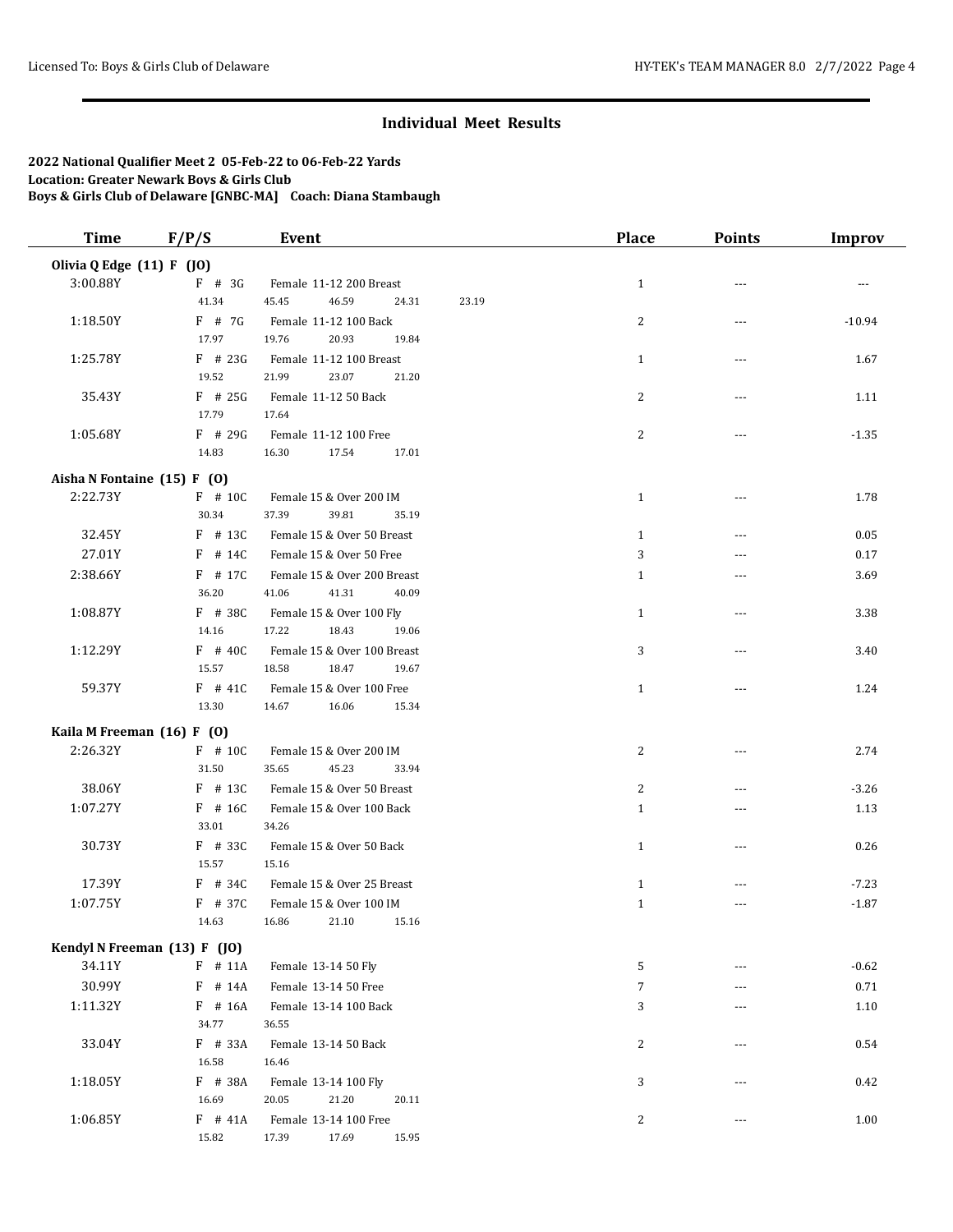| <b>Time</b>                 | F/P/S                        | Event                       |       | <b>Place</b>   | <b>Points</b>  | <b>Improv</b> |
|-----------------------------|------------------------------|-----------------------------|-------|----------------|----------------|---------------|
| Olivia Q Edge (11) F (JO)   |                              |                             |       |                |                |               |
| 3:00.88Y                    | $F$ # 3G                     | Female 11-12 200 Breast     |       | $\mathbf{1}$   | $\overline{a}$ | ---           |
|                             | 41.34                        | 45.45<br>46.59<br>24.31     | 23.19 |                |                |               |
| 1:18.50Y                    | $F$ # 7G                     | Female 11-12 100 Back       |       | 2              | ---            | $-10.94$      |
|                             | 17.97                        | 19.76<br>20.93<br>19.84     |       |                |                |               |
| 1:25.78Y                    | $F$ # 23G                    | Female 11-12 100 Breast     |       | $\mathbf{1}$   | ---            | 1.67          |
|                             | 19.52                        | 21.99<br>23.07<br>21.20     |       |                |                |               |
| 35.43Y                      | $F$ # 25G                    | Female 11-12 50 Back        |       | 2              | ---            | 1.11          |
|                             | 17.79                        | 17.64                       |       |                |                |               |
| 1:05.68Y                    | $F$ # 29G                    | Female 11-12 100 Free       |       | $\overline{c}$ | $\overline{a}$ | $-1.35$       |
|                             | 14.83                        | 16.30<br>17.54<br>17.01     |       |                |                |               |
|                             |                              |                             |       |                |                |               |
| Aisha N Fontaine (15) F (0) |                              |                             |       |                |                |               |
| 2:22.73Y                    | F # 10C                      | Female 15 & Over 200 IM     |       | $\mathbf{1}$   | ---            | 1.78          |
|                             | 30.34                        | 39.81<br>37.39<br>35.19     |       |                |                |               |
| 32.45Y                      | $F$ # 13C                    | Female 15 & Over 50 Breast  |       | $\mathbf{1}$   | $\overline{a}$ | 0.05          |
| 27.01Y                      | $F$ # 14C                    | Female 15 & Over 50 Free    |       | 3              |                | 0.17          |
| 2:38.66Y                    | $F$ # 17C                    | Female 15 & Over 200 Breast |       | $\mathbf{1}$   | ---            | 3.69          |
|                             | 36.20                        | 41.06<br>41.31<br>40.09     |       |                |                |               |
| 1:08.87Y                    | $F$ # 38C                    | Female 15 & Over 100 Fly    |       | $\mathbf{1}$   | $- - -$        | 3.38          |
|                             | 14.16                        | 17.22<br>18.43<br>19.06     |       |                |                |               |
| 1:12.29Y                    | $F$ # 40C                    | Female 15 & Over 100 Breast |       | 3              | $- - -$        | 3.40          |
|                             | 15.57                        | 18.58<br>18.47<br>19.67     |       |                |                |               |
| 59.37Y                      | $F$ # 41C                    | Female 15 & Over 100 Free   |       | $\mathbf{1}$   | ---            | 1.24          |
|                             | 13.30                        | 14.67<br>16.06<br>15.34     |       |                |                |               |
| Kaila M Freeman (16) F (0)  |                              |                             |       |                |                |               |
| 2:26.32Y                    | $F$ # 10C                    | Female 15 & Over 200 IM     |       | $\overline{c}$ |                | 2.74          |
|                             | 31.50                        | 35.65<br>45.23<br>33.94     |       |                |                |               |
| 38.06Y                      | $F$ # 13C                    | Female 15 & Over 50 Breast  |       | 2              |                | $-3.26$       |
| 1:07.27Y                    | $F$ # 16C                    | Female 15 & Over 100 Back   |       | $\mathbf{1}$   | $- - -$        | 1.13          |
|                             | 33.01                        | 34.26                       |       |                |                |               |
| 30.73Y                      | $F$ # 33C                    | Female 15 & Over 50 Back    |       | $\mathbf{1}$   | ---            | 0.26          |
|                             | 15.57                        | 15.16                       |       |                |                |               |
| 17.39Y                      | $F$ # 34C                    | Female 15 & Over 25 Breast  |       | $\mathbf{1}$   | $\overline{a}$ | $-7.23$       |
| 1:07.75Y                    | F # 37C                      | Female 15 & Over 100 IM     |       | $\mathbf{1}$   |                | $-1.87$       |
|                             | 14.63                        | 16.86<br>21.10<br>15.16     |       |                |                |               |
|                             |                              |                             |       |                |                |               |
|                             | Kendyl N Freeman (13) F (JO) |                             |       |                |                |               |
| 34.11Y                      | $F$ # 11A                    | Female 13-14 50 Fly         |       | 5              | $---$          | $-0.62$       |
| 30.99Y                      | F # 14A                      | Female 13-14 50 Free        |       | $\overline{7}$ | ---            | $0.71\,$      |
| 1:11.32Y                    | F # 16A                      | Female 13-14 100 Back       |       | 3              | $---$          | 1.10          |
|                             | 34.77                        | 36.55                       |       |                |                |               |
| 33.04Y                      | F # 33A                      | Female 13-14 50 Back        |       | $\overline{c}$ | $---$          | 0.54          |
|                             | 16.58                        | 16.46                       |       |                |                |               |
| 1:18.05Y                    | F # 38A                      | Female 13-14 100 Fly        |       | 3              | ---            | 0.42          |
|                             | 16.69                        | 20.05<br>21.20<br>20.11     |       |                |                |               |
| 1:06.85Y                    | $F$ # 41A                    | Female 13-14 100 Free       |       | 2              | ---            | 1.00          |
|                             | 15.82                        | 17.39<br>17.69<br>15.95     |       |                |                |               |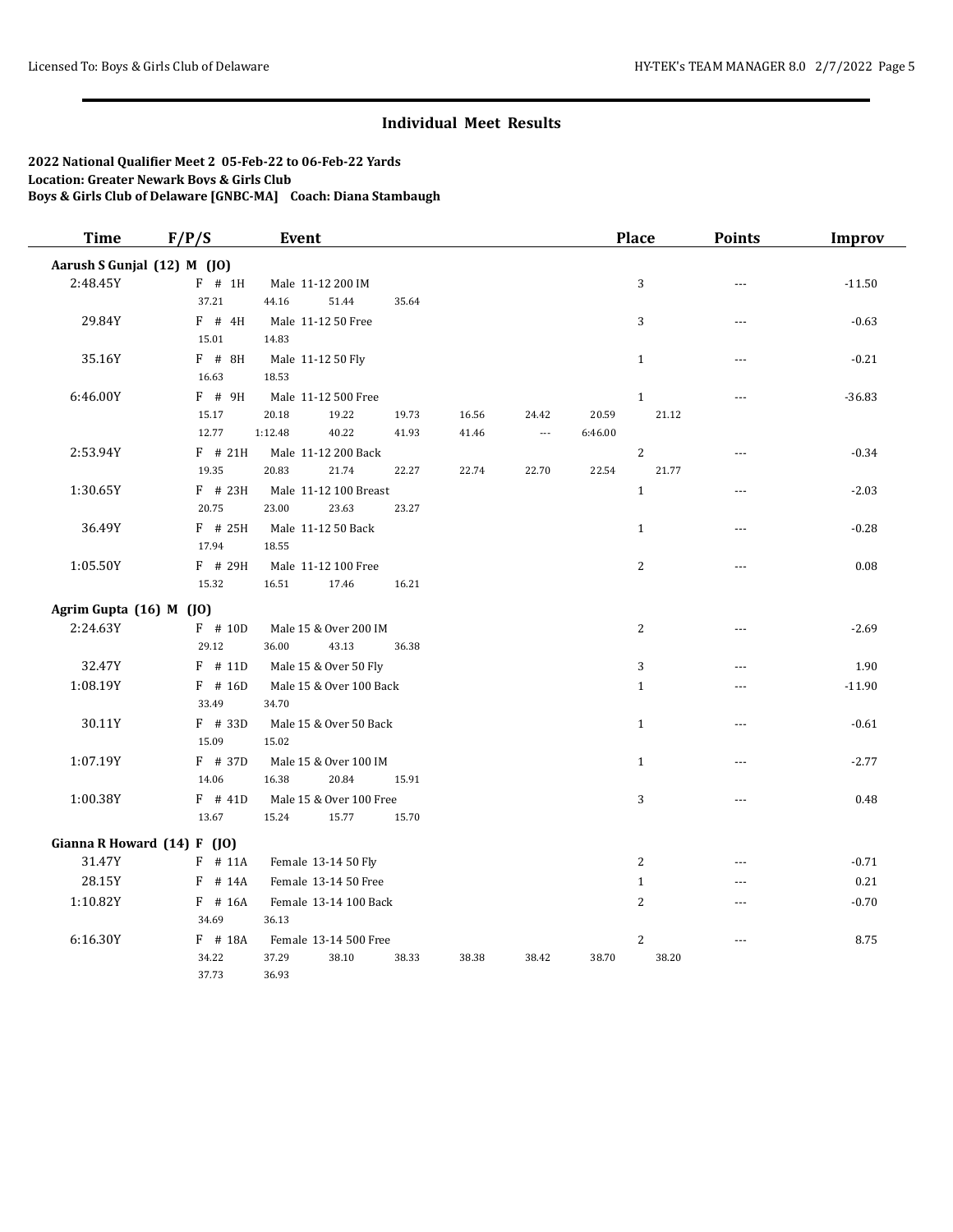| <b>Time</b>                 |                             | F/P/S<br>Event          |       |       |                          |         | <b>Place</b>   | <b>Points</b>        | <b>Improv</b> |  |
|-----------------------------|-----------------------------|-------------------------|-------|-------|--------------------------|---------|----------------|----------------------|---------------|--|
| Aarush S Gunjal (12) M (JO) |                             |                         |       |       |                          |         |                |                      |               |  |
| 2:48.45Y                    | $F$ # 1H                    | Male 11-12 200 IM       |       |       |                          |         | 3              | $\sim$               | $-11.50$      |  |
|                             | 37.21                       | 44.16<br>51.44          | 35.64 |       |                          |         |                |                      |               |  |
| 29.84Y                      | $F$ # 4H                    | Male 11-12 50 Free      |       |       |                          |         | 3              | $\sim$               | $-0.63$       |  |
|                             | 15.01                       | 14.83                   |       |       |                          |         |                |                      |               |  |
| 35.16Y                      | $F$ # 8H                    | Male 11-12 50 Fly       |       |       |                          |         | $\mathbf{1}$   | ---                  | $-0.21$       |  |
|                             | 16.63                       | 18.53                   |       |       |                          |         |                |                      |               |  |
| 6:46.00Y                    | F # 9H                      | Male 11-12 500 Free     |       |       |                          |         | $1\,$          | ---                  | $-36.83$      |  |
|                             | 15.17                       | 20.18<br>19.22          | 19.73 | 16.56 | 24.42                    | 20.59   | 21.12          |                      |               |  |
|                             | 12.77                       | 1:12.48<br>40.22        | 41.93 | 41.46 | $\overline{\phantom{a}}$ | 6:46.00 |                |                      |               |  |
| 2:53.94Y                    | $F$ # 21H                   | Male 11-12 200 Back     |       |       |                          |         | $\overline{c}$ | $\sim$ $\sim$        | $-0.34$       |  |
|                             | 19.35                       | 20.83<br>21.74          | 22.27 | 22.74 | 22.70                    | 22.54   | 21.77          |                      |               |  |
| 1:30.65Y                    | $F$ # 23H                   | Male 11-12 100 Breast   |       |       |                          |         | $1\,$          | $- - -$              | $-2.03$       |  |
|                             | 20.75                       | 23.00<br>23.63          | 23.27 |       |                          |         |                |                      |               |  |
| 36.49Y                      | $F$ # 25H                   | Male 11-12 50 Back      |       |       |                          |         | $\mathbf{1}$   | $\sim$               | $-0.28$       |  |
|                             | 17.94                       | 18.55                   |       |       |                          |         |                |                      |               |  |
| 1:05.50Y                    | F # 29H                     | Male 11-12 100 Free     |       |       |                          |         | $\overline{c}$ | $\sim$ $\sim$ $\sim$ | 0.08          |  |
|                             | 15.32                       | 16.51<br>17.46          | 16.21 |       |                          |         |                |                      |               |  |
| Agrim Gupta (16) M (JO)     |                             |                         |       |       |                          |         |                |                      |               |  |
| 2:24.63Y                    | $F$ # 10D                   | Male 15 & Over 200 IM   |       |       |                          |         | $\sqrt{2}$     | ---                  | $-2.69$       |  |
|                             | 29.12                       | 36.00<br>43.13          | 36.38 |       |                          |         |                |                      |               |  |
| 32.47Y                      | $F$ # 11D                   | Male 15 & Over 50 Fly   |       |       |                          |         | 3              | $\sim$               | 1.90          |  |
| 1:08.19Y                    | $F$ # 16D                   | Male 15 & Over 100 Back |       |       |                          |         | $\mathbf{1}$   | $\overline{a}$       | $-11.90$      |  |
|                             | 33.49                       | 34.70                   |       |       |                          |         |                |                      |               |  |
| 30.11Y                      | $F$ # 33D                   | Male 15 & Over 50 Back  |       |       |                          |         | $\mathbf{1}$   | $\sim$               | $-0.61$       |  |
|                             | 15.09                       | 15.02                   |       |       |                          |         |                |                      |               |  |
| 1:07.19Y                    | $F$ # 37D                   | Male 15 & Over 100 IM   |       |       |                          |         | $\mathbf{1}$   | $- - -$              | $-2.77$       |  |
|                             | 14.06                       | 16.38<br>20.84          | 15.91 |       |                          |         |                |                      |               |  |
| 1:00.38Y                    | $F$ # 41D                   | Male 15 & Over 100 Free |       |       |                          |         | 3              | $\sim$               | 0.48          |  |
|                             | 13.67                       | 15.24<br>15.77          | 15.70 |       |                          |         |                |                      |               |  |
|                             | Gianna R Howard (14) F (JO) |                         |       |       |                          |         |                |                      |               |  |
| 31.47Y                      | $F$ # 11A                   | Female 13-14 50 Fly     |       |       |                          |         | 2              | $\overline{a}$       | $-0.71$       |  |
| 28.15Y                      | F<br># 14A                  | Female 13-14 50 Free    |       |       |                          |         | $1\,$          | $- - -$              | 0.21          |  |
| 1:10.82Y                    | F # 16A                     | Female 13-14 100 Back   |       |       |                          |         | $\overline{c}$ | $-$ --               | $-0.70$       |  |
|                             | 34.69                       | 36.13                   |       |       |                          |         |                |                      |               |  |
| 6:16.30Y                    | F # 18A                     | Female 13-14 500 Free   |       |       |                          |         | $\overline{c}$ | $\overline{a}$       | 8.75          |  |
|                             | 34.22                       | 37.29<br>38.10          | 38.33 | 38.38 | 38.42                    | 38.70   | 38.20          |                      |               |  |
|                             | 37.73                       | 36.93                   |       |       |                          |         |                |                      |               |  |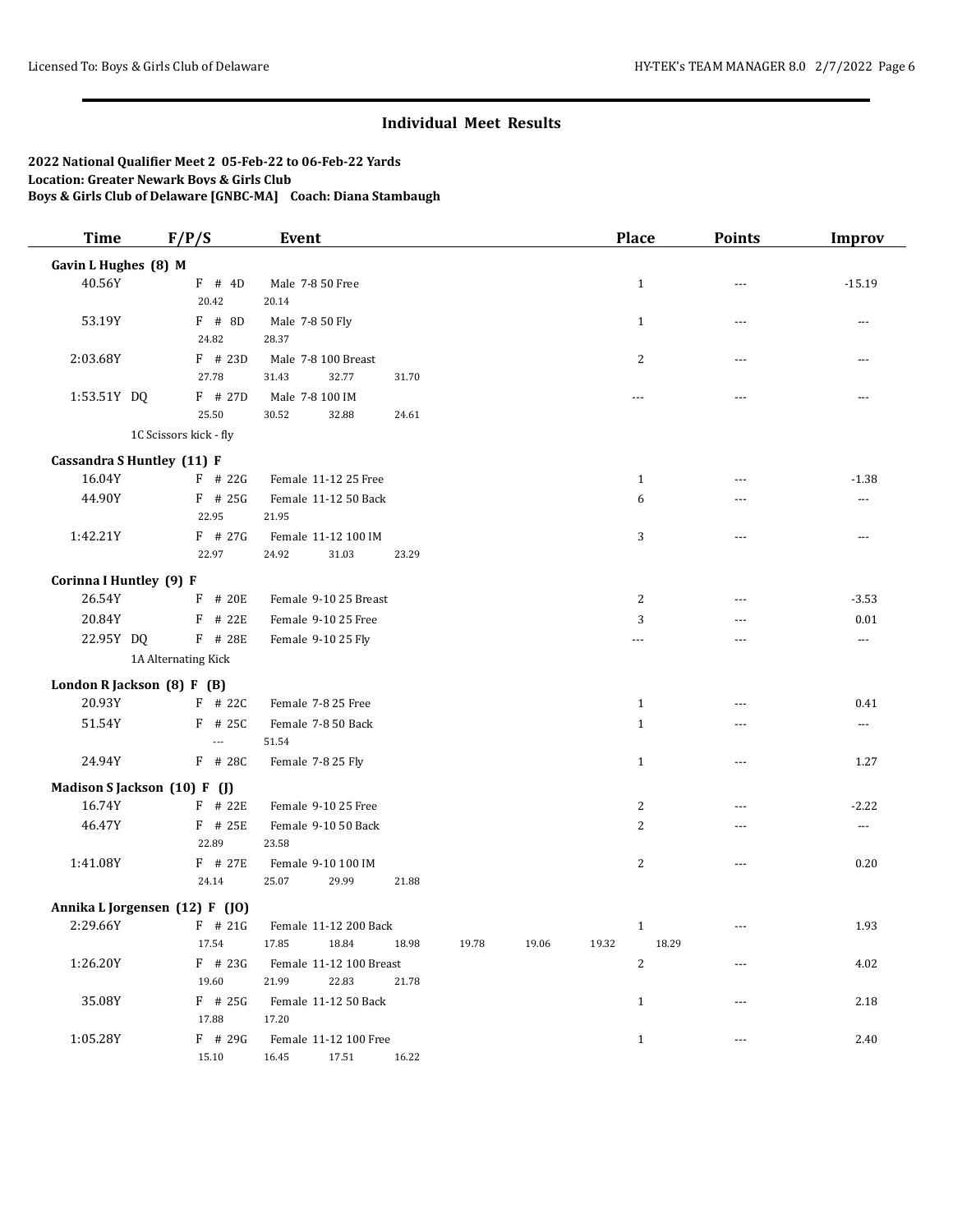| <b>Time</b>             | F/P/S                                   | Event                       |       |       |       |       | Place          | <b>Points</b> | <b>Improv</b>            |
|-------------------------|-----------------------------------------|-----------------------------|-------|-------|-------|-------|----------------|---------------|--------------------------|
| Gavin L Hughes (8) M    |                                         |                             |       |       |       |       |                |               |                          |
| 40.56Y                  | $F$ # 4D                                | Male 7-8 50 Free            |       |       |       |       | $\mathbf{1}$   | $---$         | $-15.19$                 |
|                         | 20.42                                   | 20.14                       |       |       |       |       |                |               |                          |
| 53.19Y                  | $F$ # 8D                                | Male 7-8 50 Fly             |       |       |       |       | $\mathbf{1}$   | $---$         | $\overline{\phantom{a}}$ |
|                         | 24.82                                   | 28.37                       |       |       |       |       |                |               |                          |
| 2:03.68Y                | F # 23D                                 | Male 7-8 100 Breast         |       |       |       |       | $\overline{c}$ | ---           | $\overline{a}$           |
|                         | 27.78                                   | 32.77<br>31.43              | 31.70 |       |       |       |                |               |                          |
| 1:53.51Y DQ             | F # 27D                                 | Male 7-8 100 IM             |       |       |       |       | $---$          | $\sim$ $\sim$ | $---$                    |
|                         | 25.50                                   | 30.52<br>32.88              | 24.61 |       |       |       |                |               |                          |
|                         | 1C Scissors kick - fly                  |                             |       |       |       |       |                |               |                          |
|                         | Cassandra S Huntley (11) F              |                             |       |       |       |       |                |               |                          |
| 16.04Y                  | $F$ # 22G                               | Female 11-12 25 Free        |       |       |       |       | $\mathbf{1}$   | ---           | $-1.38$                  |
| 44.90Y                  | $F$ # 25G                               | Female 11-12 50 Back        |       |       |       |       | 6              | ---           | ---                      |
|                         | 22.95                                   | 21.95                       |       |       |       |       |                |               |                          |
| 1:42.21Y                | F # 27G                                 | Female 11-12 100 IM         |       |       |       |       | 3              | $\sim$ $\sim$ | $---$                    |
|                         | 22.97                                   | 24.92<br>31.03              | 23.29 |       |       |       |                |               |                          |
| Corinna I Huntley (9) F |                                         |                             |       |       |       |       |                |               |                          |
| 26.54Y                  | F # 20E                                 | Female 9-10 25 Breast       |       |       |       |       | 2              | ---           | $-3.53$                  |
| 20.84Y                  | $F$ # 22E                               | Female 9-10 25 Free         |       |       |       |       | 3              | $- - -$       | 0.01                     |
| 22.95Y DQ               | F # 28E                                 | Female 9-10 25 Fly          |       |       |       |       | $---$          | $\sim$ $\sim$ | ---                      |
|                         | 1A Alternating Kick                     |                             |       |       |       |       |                |               |                          |
|                         |                                         |                             |       |       |       |       |                |               |                          |
| 20.93Y                  | London R Jackson (8) F (B)<br>$F$ # 22C | Female 7-8 25 Free          |       |       |       |       | $\mathbf{1}$   |               | 0.41                     |
|                         |                                         |                             |       |       |       |       |                |               |                          |
| 51.54Y                  | $F$ # 25C<br>---                        | Female 7-8 50 Back<br>51.54 |       |       |       |       | $\mathbf{1}$   | $\sim$ $\sim$ | $\cdots$                 |
| 24.94Y                  | F # 28C                                 | Female 7-8 25 Fly           |       |       |       |       | $\mathbf{1}$   | $\sim$ $\sim$ | 1.27                     |
|                         |                                         |                             |       |       |       |       |                |               |                          |
|                         | Madison S Jackson (10) F (J)            |                             |       |       |       |       |                |               |                          |
| 16.74Y                  | $F$ # 22E                               | Female 9-10 25 Free         |       |       |       |       | 2              | ---           | $-2.22$                  |
| 46.47Y                  | F # 25E                                 | Female 9-10 50 Back         |       |       |       |       | $\overline{c}$ | ---           | $\cdots$                 |
|                         | 22.89                                   | 23.58                       |       |       |       |       |                |               |                          |
| 1:41.08Y                | F # 27E                                 | Female 9-10 100 IM          |       |       |       |       | $\overline{c}$ | $\sim$ $\sim$ | 0.20                     |
|                         | 24.14                                   | 25.07<br>29.99              | 21.88 |       |       |       |                |               |                          |
|                         | Annika L Jorgensen (12) F (JO)          |                             |       |       |       |       |                |               |                          |
| 2:29.66Y                | $F$ # 21G                               | Female 11-12 200 Back       |       |       |       |       | -1             | $--$          | 1.93                     |
|                         | 17.54                                   | 17.85<br>18.84              | 18.98 | 19.78 | 19.06 | 19.32 | 18.29          |               |                          |
| 1:26.20Y                | $F$ # 23G                               | Female 11-12 100 Breast     |       |       |       |       | 2              | $- - -$       | 4.02                     |
|                         | 19.60                                   | 21.99<br>22.83              | 21.78 |       |       |       |                |               |                          |
| 35.08Y                  | $F$ # 25G                               | Female 11-12 50 Back        |       |       |       |       | $\mathbf{1}$   | ---           | 2.18                     |
|                         | 17.88                                   | 17.20                       |       |       |       |       |                |               |                          |
| 1:05.28Y                | $F$ # 29G                               | Female 11-12 100 Free       |       |       |       |       | $\mathbf{1}$   |               | 2.40                     |
|                         | 15.10                                   | 16.45<br>17.51              | 16.22 |       |       |       |                |               |                          |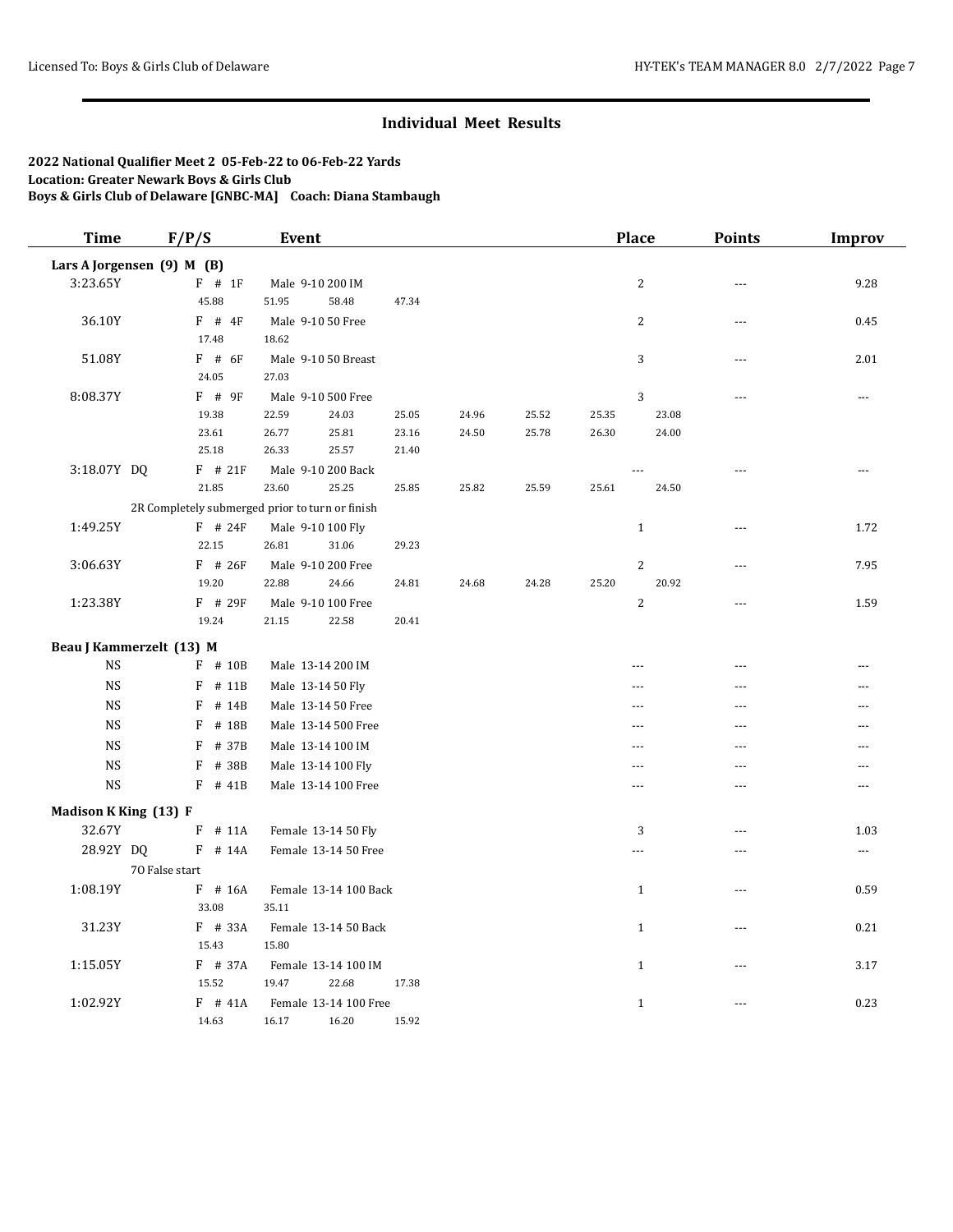| <b>Time</b>           | F/P/S                      | Event                                           |                |       |                |                | <b>Place</b>   | <b>Points</b>  | Improv |
|-----------------------|----------------------------|-------------------------------------------------|----------------|-------|----------------|----------------|----------------|----------------|--------|
|                       | Lars A Jorgensen (9) M (B) |                                                 |                |       |                |                |                |                |        |
| 3:23.65Y              | $F$ # 1F                   | Male 9-10 200 IM                                |                |       |                |                | $\overline{2}$ | ---            | 9.28   |
|                       | 45.88                      | 51.95<br>58.48                                  | 47.34          |       |                |                |                |                |        |
| 36.10Y                | $F$ # 4F                   | Male 9-10 50 Free                               |                |       |                |                | $\overline{c}$ | $\overline{a}$ | 0.45   |
|                       | 17.48                      | 18.62                                           |                |       |                |                |                |                |        |
| 51.08Y                | $F$ # 6F                   | Male 9-10 50 Breast                             |                |       |                |                | 3              | $\sim$         | 2.01   |
|                       | 24.05                      | 27.03                                           |                |       |                |                |                |                |        |
| 8:08.37Y              | $F$ # 9F<br>19.38          | Male 9-10 500 Free                              |                | 24.96 |                |                | 3<br>23.08     | ---            | ---    |
|                       | 23.61                      | 22.59<br>24.03<br>26.77<br>25.81                | 25.05<br>23.16 | 24.50 | 25.52<br>25.78 | 25.35<br>26.30 | 24.00          |                |        |
|                       | 25.18                      | 26.33<br>25.57                                  | 21.40          |       |                |                |                |                |        |
| 3:18.07Y DQ           | $F$ # 21F                  | Male 9-10 200 Back                              |                |       |                |                |                | $\overline{a}$ | ---    |
|                       | 21.85                      | 23.60<br>25.25                                  | 25.85          | 25.82 | 25.59          | 25.61          | 24.50          |                |        |
|                       |                            | 2R Completely submerged prior to turn or finish |                |       |                |                |                |                |        |
| 1:49.25Y              | $F$ # 24F                  | Male 9-10 100 Fly                               |                |       |                |                | $\mathbf{1}$   | $\overline{a}$ | 1.72   |
|                       | 22.15                      | 26.81<br>31.06                                  | 29.23          |       |                |                |                |                |        |
| 3:06.63Y              | $F$ # 26F                  | Male 9-10 200 Free                              |                |       |                |                | $\overline{c}$ | $\sim$         | 7.95   |
|                       | 19.20                      | 22.88<br>24.66                                  | 24.81          | 24.68 | 24.28          | 25.20          | 20.92          |                |        |
| 1:23.38Y              | $F$ # 29F                  | Male 9-10 100 Free                              |                |       |                |                | $\overline{c}$ | $---$          | 1.59   |
|                       | 19.24                      | 21.15<br>22.58                                  | 20.41          |       |                |                |                |                |        |
|                       | Beau J Kammerzelt (13) M   |                                                 |                |       |                |                |                |                |        |
| <b>NS</b>             | $F$ # 10B                  | Male 13-14 200 IM                               |                |       |                |                | $\sim$ $\sim$  | $\sim$         | ---    |
| <b>NS</b>             | $F$ # 11B                  | Male 13-14 50 Fly                               |                |       |                |                | $\overline{a}$ | $\overline{a}$ | ---    |
| <b>NS</b>             | F                          | # 14B<br>Male 13-14 50 Free                     |                |       |                |                | $- - -$        | $\overline{a}$ | ---    |
| <b>NS</b>             | F<br># 18B                 | Male 13-14 500 Free                             |                |       |                |                | ---            | ---            | ---    |
| <b>NS</b>             | F<br># 37B                 | Male 13-14 100 IM                               |                |       |                |                | $---$          | $- - -$        | ---    |
| <b>NS</b>             | F                          | # 38B<br>Male 13-14 100 Fly                     |                |       |                |                | ---            |                |        |
| <b>NS</b>             | $F$ # 41B                  | Male 13-14 100 Free                             |                |       |                |                | $\overline{a}$ |                | ---    |
| Madison K King (13) F |                            |                                                 |                |       |                |                |                |                |        |
| 32.67Y                | $F$ # 11A                  | Female 13-14 50 Fly                             |                |       |                |                | 3              | $\sim$         | 1.03   |
| 28.92Y DQ             | $F$ # 14A                  | Female 13-14 50 Free                            |                |       |                |                | $-$            | $ -$           | ---    |
|                       | 70 False start             |                                                 |                |       |                |                |                |                |        |
| 1:08.19Y              | $F$ # 16A                  | Female 13-14 100 Back                           |                |       |                |                | $\mathbf{1}$   | $- - -$        | 0.59   |
|                       | 33.08                      | 35.11                                           |                |       |                |                |                |                |        |
| 31.23Y                | F # 33A                    | Female 13-14 50 Back                            |                |       |                |                | $\mathbf{1}$   | $\overline{a}$ | 0.21   |
|                       | 15.43                      | 15.80                                           |                |       |                |                |                |                |        |
| 1:15.05Y              | F # 37A                    | Female 13-14 100 IM                             |                |       |                |                | $\mathbf{1}$   | $\sim$         | 3.17   |
|                       | 15.52                      | 19.47<br>22.68                                  | 17.38          |       |                |                |                |                |        |
| 1:02.92Y              | $F$ # 41A                  | Female 13-14 100 Free                           |                |       |                |                | $\mathbf{1}$   | $\sim$ $\sim$  | 0.23   |
|                       | 14.63                      | 16.17<br>16.20                                  | 15.92          |       |                |                |                |                |        |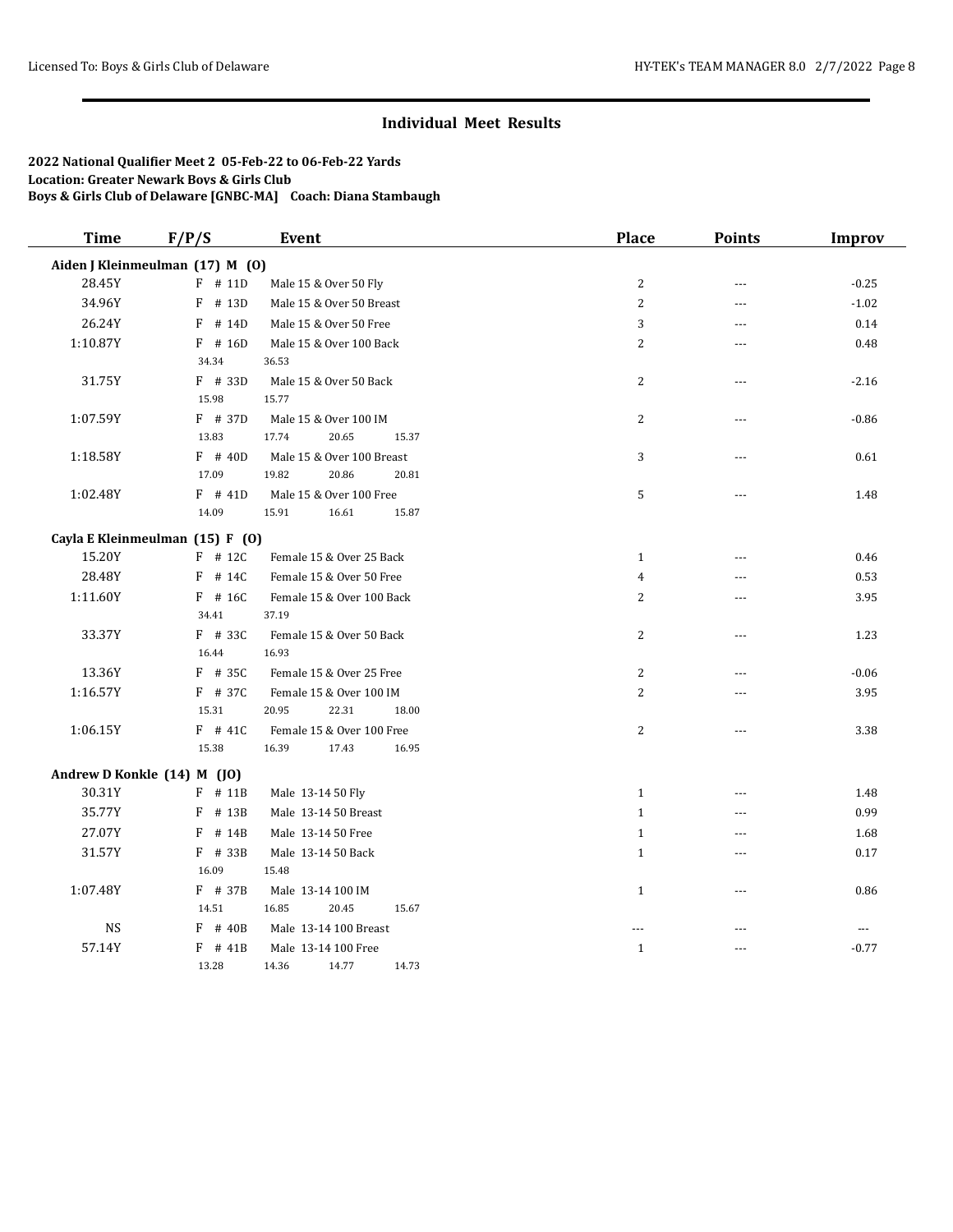| <b>Time</b> | F/P/S                           | <b>Event</b>              | <b>Place</b>   | <b>Points</b>  | <b>Improv</b> |
|-------------|---------------------------------|---------------------------|----------------|----------------|---------------|
|             | Aiden J Kleinmeulman (17) M (0) |                           |                |                |               |
| 28.45Y      | $F$ # 11D                       | Male 15 & Over 50 Fly     | 2              | $-$            | $-0.25$       |
| 34.96Y      | F<br># 13D                      | Male 15 & Over 50 Breast  | 2              | ---            | $-1.02$       |
| 26.24Y      | F<br># 14D                      | Male 15 & Over 50 Free    | 3              | ---            | 0.14          |
| 1:10.87Y    | $F$ # 16D                       | Male 15 & Over 100 Back   | $\overline{2}$ | ---            | 0.48          |
|             | 34.34                           | 36.53                     |                |                |               |
| 31.75Y      | $F$ # 33D                       | Male 15 & Over 50 Back    | 2              |                | $-2.16$       |
|             | 15.98                           | 15.77                     |                |                |               |
| 1:07.59Y    | $F$ # 37D                       | Male 15 & Over 100 IM     | $\overline{c}$ | $\sim$         | $-0.86$       |
|             | 13.83                           | 17.74<br>20.65<br>15.37   |                |                |               |
| 1:18.58Y    | $F$ # 40D                       | Male 15 & Over 100 Breast | 3              | ---            | 0.61          |
|             | 17.09                           | 20.86<br>19.82<br>20.81   |                |                |               |
| 1:02.48Y    | $F$ # 41D                       | Male 15 & Over 100 Free   | 5              | ---            | 1.48          |
|             | 14.09                           | 15.91<br>16.61<br>15.87   |                |                |               |
|             | Cayla E Kleinmeulman (15) F (0) |                           |                |                |               |
| 15.20Y      | $F$ # 12C                       | Female 15 & Over 25 Back  | $\mathbf{1}$   | $\overline{a}$ | 0.46          |
| 28.48Y      | $F$ # 14C                       | Female 15 & Over 50 Free  | $\overline{4}$ | $\overline{a}$ | 0.53          |
| 1:11.60Y    | $F$ # 16C                       | Female 15 & Over 100 Back | $\overline{c}$ | $\overline{a}$ | 3.95          |
|             | 34.41                           | 37.19                     |                |                |               |
| 33.37Y      | $F$ # 33C                       | Female 15 & Over 50 Back  | 2              | $---$          | 1.23          |
|             | 16.44                           | 16.93                     |                |                |               |
| 13.36Y      | $F$ # 35C                       | Female 15 & Over 25 Free  | 2              | ---            | $-0.06$       |
| 1:16.57Y    | $F$ # 37C                       | Female 15 & Over 100 IM   | 2              |                | 3.95          |
|             | 15.31                           | 20.95<br>22.31<br>18.00   |                |                |               |
| 1:06.15Y    | $F$ # 41C                       | Female 15 & Over 100 Free | $\overline{c}$ | ---            | 3.38          |
|             | 15.38                           | 16.39<br>17.43<br>16.95   |                |                |               |
|             | Andrew D Konkle (14) M (JO)     |                           |                |                |               |
| 30.31Y      | $F$ # 11B                       | Male 13-14 50 Fly         | $\mathbf{1}$   | ---            | 1.48          |
| 35.77Y      | F<br># 13B                      | Male 13-14 50 Breast      | $\mathbf{1}$   | $\overline{a}$ | 0.99          |
| 27.07Y      | F<br># 14B                      | Male 13-14 50 Free        | $\mathbf{1}$   | $\overline{a}$ | 1.68          |
| 31.57Y      | $F$ # 33B                       | Male 13-14 50 Back        | $\mathbf{1}$   | $\overline{a}$ | 0.17          |
|             | 16.09                           | 15.48                     |                |                |               |
| 1:07.48Y    | $F$ # 37B                       | Male 13-14 100 IM         | $\mathbf{1}$   | ---            | 0.86          |
|             | 14.51                           | 16.85<br>20.45<br>15.67   |                |                |               |
| $_{\rm NS}$ | $F$ # 40B                       | Male 13-14 100 Breast     | ---            | ---            | $\cdots$      |
| 57.14Y      | $F$ # 41B                       | Male 13-14 100 Free       | $\,1\,$        | ---            | $-0.77$       |
|             | 13.28                           | 14.77<br>14.73<br>14.36   |                |                |               |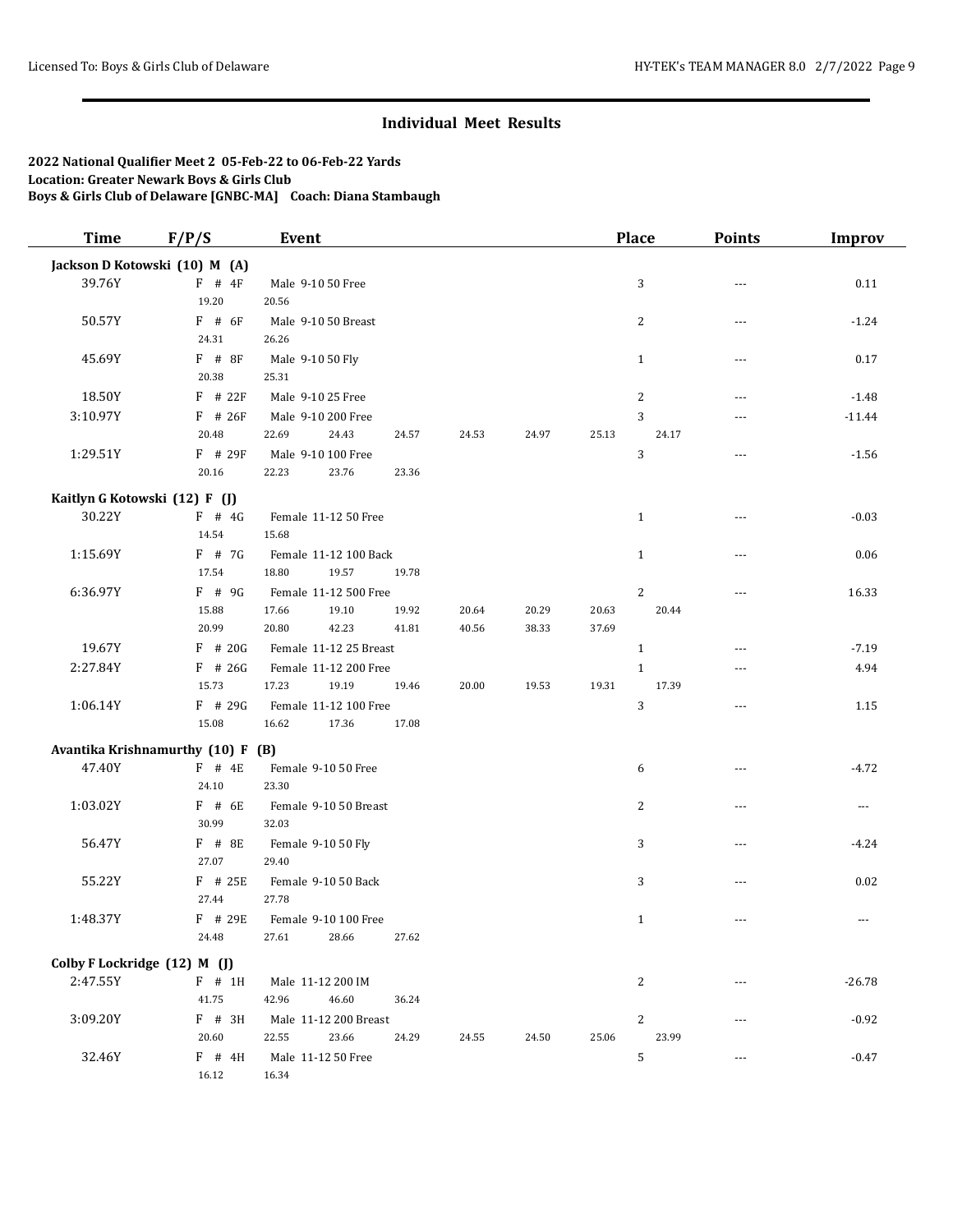| <b>Time</b>                  | F/P/S                             | <b>Event</b>           |       |       |       |       | <b>Place</b>   | <b>Points</b> | <b>Improv</b> |
|------------------------------|-----------------------------------|------------------------|-------|-------|-------|-------|----------------|---------------|---------------|
|                              | Jackson D Kotowski (10) M (A)     |                        |       |       |       |       |                |               |               |
| 39.76Y                       | $F$ # $4F$                        | Male 9-10 50 Free      |       |       |       |       | 3              | ---           | 0.11          |
|                              | 19.20                             | 20.56                  |       |       |       |       |                |               |               |
| 50.57Y                       | $F$ # 6F                          | Male 9-10 50 Breast    |       |       |       |       | $\overline{c}$ | $\sim$ $\sim$ | $-1.24$       |
|                              | 24.31                             | 26.26                  |       |       |       |       |                |               |               |
| 45.69Y                       | $F$ # 8F                          | Male 9-10 50 Fly       |       |       |       |       | $\mathbf{1}$   | ---           | 0.17          |
|                              | 20.38                             | 25.31                  |       |       |       |       |                |               |               |
| 18.50Y                       | $F$ # 22 $F$                      | Male 9-10 25 Free      |       |       |       |       | 2              | $\sim$ $\sim$ | $-1.48$       |
| 3:10.97Y                     | F # 26F                           | Male 9-10 200 Free     |       |       |       |       | 3              | $- - -$       | $-11.44$      |
|                              | 20.48                             | 22.69<br>24.43         | 24.57 | 24.53 | 24.97 | 25.13 | 24.17          |               |               |
| 1:29.51Y                     | $F$ # 29 $F$                      | Male 9-10 100 Free     |       |       |       |       | 3              | ---           | $-1.56$       |
|                              | 20.16                             | 22.23<br>23.76         | 23.36 |       |       |       |                |               |               |
|                              | Kaitlyn G Kotowski (12) F (J)     |                        |       |       |       |       |                |               |               |
| 30.22Y                       | $F$ # 4G                          | Female 11-12 50 Free   |       |       |       |       | $\mathbf{1}$   | $- - -$       | $-0.03$       |
|                              | 14.54                             | 15.68                  |       |       |       |       |                |               |               |
| 1:15.69Y                     | $F$ # 7G                          | Female 11-12 100 Back  |       |       |       |       | $\mathbf{1}$   | $- - -$       | 0.06          |
|                              | 17.54                             | 18.80<br>19.57         | 19.78 |       |       |       |                |               |               |
| 6:36.97Y                     | $F$ # 9G                          | Female 11-12 500 Free  |       |       |       |       | $\overline{2}$ | $- - -$       | 16.33         |
|                              | 15.88                             | 17.66<br>19.10         | 19.92 | 20.64 | 20.29 | 20.63 | 20.44          |               |               |
|                              | 20.99                             | 20.80<br>42.23         | 41.81 | 40.56 | 38.33 | 37.69 |                |               |               |
| 19.67Y                       | $F$ # 20G                         | Female 11-12 25 Breast |       |       |       |       | $\mathbf{1}$   | $- - -$       | $-7.19$       |
| 2:27.84Y                     | $F$ # 26G                         | Female 11-12 200 Free  |       |       |       |       | $\mathbf{1}$   | $\sim$ $\sim$ | 4.94          |
|                              | 15.73                             | 17.23<br>19.19         | 19.46 | 20.00 | 19.53 | 19.31 | 17.39          |               |               |
| 1:06.14Y                     | F # 29G                           | Female 11-12 100 Free  |       |       |       |       | 3              | $- - -$       | 1.15          |
|                              | 15.08                             | 16.62<br>17.36         | 17.08 |       |       |       |                |               |               |
|                              | Avantika Krishnamurthy (10) F (B) |                        |       |       |       |       |                |               |               |
| 47.40Y                       | $F$ # 4E                          | Female 9-10 50 Free    |       |       |       |       | 6              | ---           | $-4.72$       |
|                              | 24.10                             | 23.30                  |       |       |       |       |                |               |               |
| 1:03.02Y                     | $F$ # 6E                          | Female 9-10 50 Breast  |       |       |       |       | $\overline{c}$ | $-$           | ---           |
|                              | 30.99                             | 32.03                  |       |       |       |       |                |               |               |
| 56.47Y                       | F # 8E                            | Female 9-10 50 Fly     |       |       |       |       | 3              | $- - -$       | $-4.24$       |
|                              | 27.07                             | 29.40                  |       |       |       |       |                |               |               |
| 55.22Y                       | F # 25E                           | Female 9-10 50 Back    |       |       |       |       | 3              | ---           | 0.02          |
|                              | 27.44                             | 27.78                  |       |       |       |       |                |               |               |
| 1:48.37Y                     | $F$ # 29E                         | Female 9-10 100 Free   |       |       |       |       | $\mathbf{1}$   | $\sim$ $\sim$ | ---           |
|                              | 24.48                             | 27.61<br>28.66         | 27.62 |       |       |       |                |               |               |
| Colby F Lockridge (12) M (J) |                                   |                        |       |       |       |       |                |               |               |
| 2:47.55Y                     | $F$ # 1H                          | Male 11-12 200 IM      |       |       |       |       | 2              | ---           | $-26.78$      |
|                              | 41.75                             | 46.60<br>42.96         | 36.24 |       |       |       |                |               |               |
| 3:09.20Y                     | F # 3H                            | Male 11-12 200 Breast  |       |       |       |       | 2              |               | $-0.92$       |
|                              | 20.60                             | 22.55<br>23.66         | 24.29 | 24.55 | 24.50 | 25.06 | 23.99          |               |               |
| 32.46Y                       | F # 4H                            | Male 11-12 50 Free     |       |       |       |       | $\mathbf 5$    | ---           | $-0.47$       |
|                              | 16.12                             | 16.34                  |       |       |       |       |                |               |               |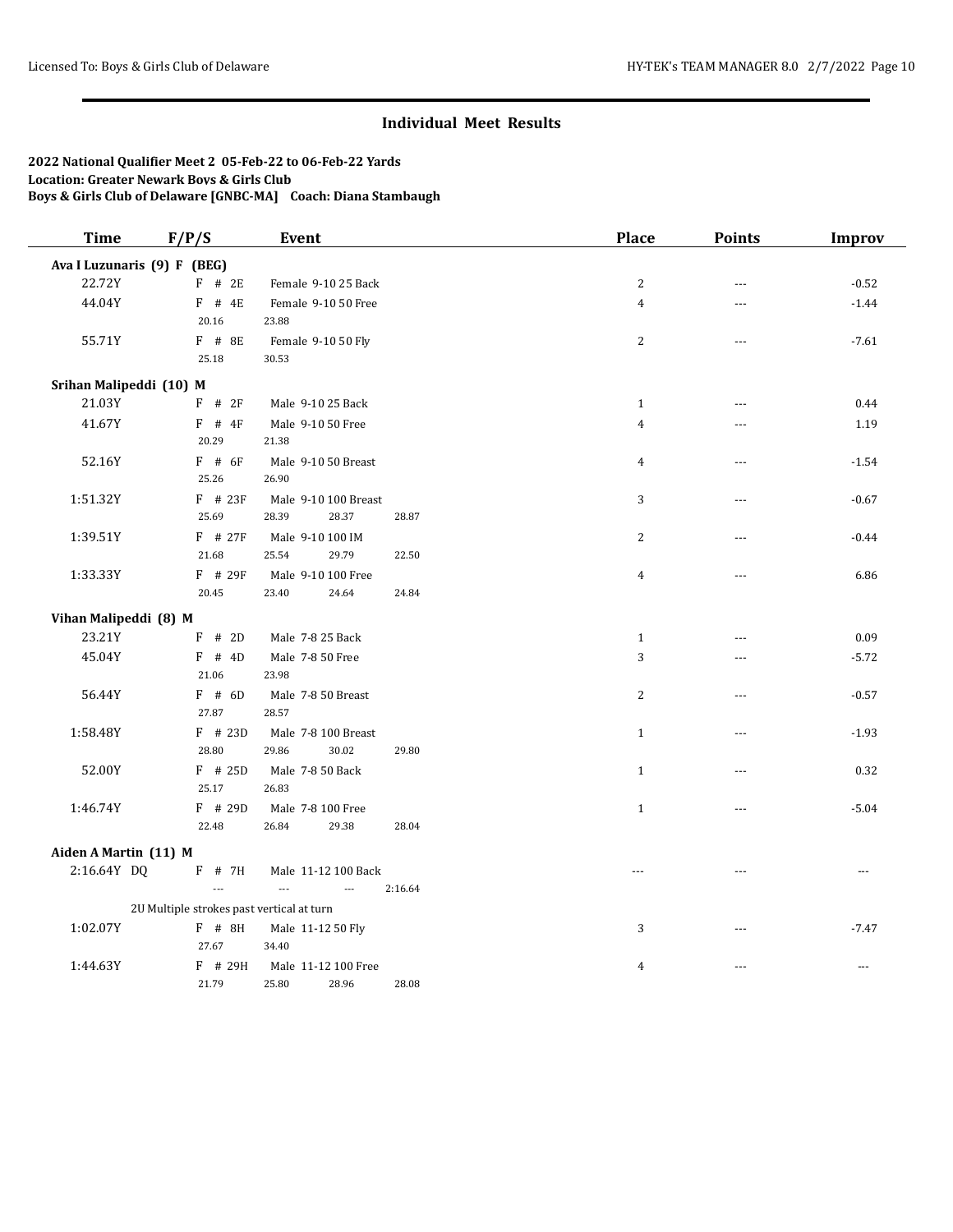| <b>Time</b>                 | F/P/S                                     | Event                                      |         | Place          | <b>Points</b>  | <b>Improv</b> |
|-----------------------------|-------------------------------------------|--------------------------------------------|---------|----------------|----------------|---------------|
| Ava I Luzunaris (9) F (BEG) |                                           |                                            |         |                |                |               |
| 22.72Y                      | $F$ # 2E                                  | Female 9-10 25 Back                        |         | $\sqrt{2}$     | $-$            | $-0.52$       |
| 44.04Y                      | $F$ # 4E                                  | Female 9-10 50 Free                        |         | $\overline{4}$ | $- - -$        | $-1.44$       |
|                             | 20.16                                     | 23.88                                      |         |                |                |               |
| 55.71Y                      | F # 8E                                    | Female 9-10 50 Fly                         |         | $\overline{c}$ | $\sim$         | $-7.61$       |
|                             | 25.18                                     | 30.53                                      |         |                |                |               |
| Srihan Malipeddi (10) M     |                                           |                                            |         |                |                |               |
| 21.03Y                      | $F$ # 2F                                  | Male 9-10 25 Back                          |         | $\mathbf{1}$   | $-$            | 0.44          |
| 41.67Y                      | $F$ # 4F                                  | Male 9-10 50 Free                          |         | $\overline{4}$ | ---            | 1.19          |
|                             | 20.29                                     | 21.38                                      |         |                |                |               |
| 52.16Y                      | $F$ # 6F                                  | Male 9-10 50 Breast                        |         | $\overline{4}$ | $- - -$        | $-1.54$       |
|                             | 25.26                                     | 26.90                                      |         |                |                |               |
| 1:51.32Y                    | $F$ # 23F                                 | Male 9-10 100 Breast                       |         | 3              | $---$          | $-0.67$       |
|                             | 25.69                                     | 28.39<br>28.37                             | 28.87   |                |                |               |
| 1:39.51Y                    | $F$ # 27F                                 | Male 9-10 100 IM                           |         | $\overline{c}$ | $\sim$         | $-0.44$       |
|                             | $21.68\,$                                 | 25.54<br>29.79                             | 22.50   |                |                |               |
| 1:33.33Y                    | $F$ # 29F                                 | Male 9-10 100 Free                         |         | $\overline{4}$ | ---            | 6.86          |
|                             | 20.45                                     | 24.64<br>23.40                             | 24.84   |                |                |               |
| Vihan Malipeddi (8) M       |                                           |                                            |         |                |                |               |
| 23.21Y                      | $F$ # 2D                                  | Male 7-8 25 Back                           |         | $\mathbf{1}$   | $\overline{a}$ | 0.09          |
| 45.04Y                      | $F$ # 4D                                  | Male 7-8 50 Free                           |         | 3              | ---            | $-5.72$       |
|                             | 21.06                                     | 23.98                                      |         |                |                |               |
| 56.44Y                      | $F$ # 6D                                  | Male 7-8 50 Breast                         |         | $\overline{c}$ | $- - -$        | $-0.57$       |
|                             | 27.87                                     | 28.57                                      |         |                |                |               |
| 1:58.48Y                    | $F$ # 23D                                 | Male 7-8 100 Breast                        |         | $\mathbf{1}$   | $---$          | $-1.93$       |
|                             | 28.80                                     | 29.86<br>30.02                             | 29.80   |                |                |               |
| 52.00Y                      | $F$ # 25D                                 | Male 7-8 50 Back                           |         | $\mathbf{1}$   | $\overline{a}$ | 0.32          |
|                             | 25.17                                     | 26.83                                      |         |                |                |               |
| 1:46.74Y                    | $F$ # 29D                                 | Male 7-8 100 Free                          |         | $1\,$          | $\overline{a}$ | $-5.04$       |
|                             | 22.48                                     | 29.38<br>26.84                             | 28.04   |                |                |               |
| Aiden A Martin (11) M       |                                           |                                            |         |                |                |               |
| 2:16.64Y DQ                 | $F$ # 7H                                  | Male 11-12 100 Back                        |         | $---$          |                | $\cdots$      |
|                             | $\overline{a}$                            | $\overline{a}$<br>$\overline{\phantom{a}}$ | 2:16.64 |                |                |               |
|                             | 2U Multiple strokes past vertical at turn |                                            |         |                |                |               |
| 1:02.07Y                    | $F$ # 8H                                  | Male 11-12 50 Fly                          |         | 3              | $---$          | $-7.47$       |
|                             | 27.67                                     | 34.40                                      |         |                |                |               |
| 1:44.63Y                    | F # 29H                                   | Male 11-12 100 Free                        |         | 4              | $---$          | $\cdots$      |
|                             | 21.79                                     | 28.96<br>25.80                             | 28.08   |                |                |               |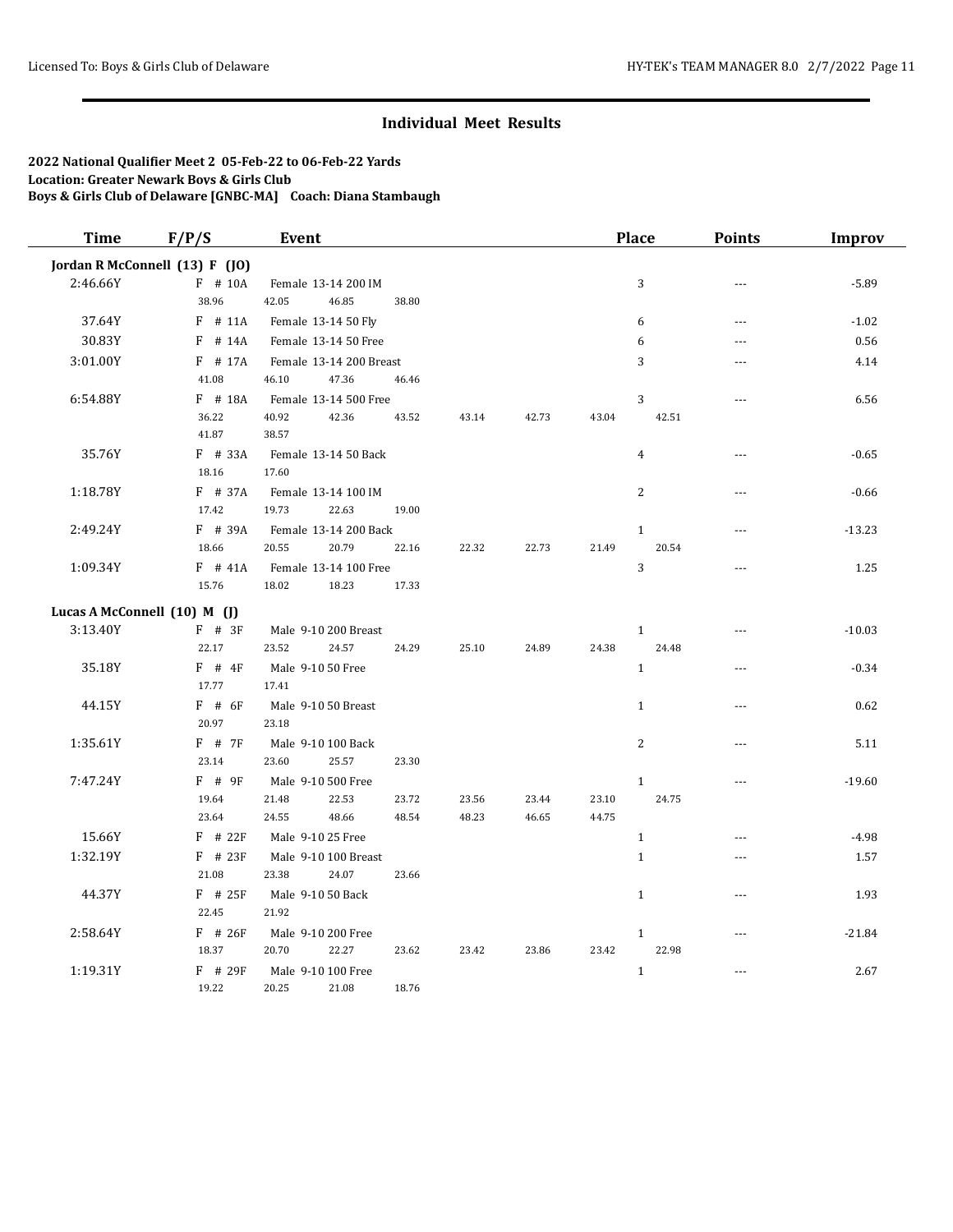| <b>Time</b> | F/P/S                          | Event                                   |       |       |       |       | <b>Place</b>          | <b>Points</b>  | <b>Improv</b> |
|-------------|--------------------------------|-----------------------------------------|-------|-------|-------|-------|-----------------------|----------------|---------------|
|             | Jordan R McConnell (13) F (JO) |                                         |       |       |       |       |                       |                |               |
| 2:46.66Y    | $F$ # 10A                      | Female 13-14 200 IM                     |       |       |       |       | 3                     | $---$          | $-5.89$       |
|             | 38.96                          | 42.05<br>46.85                          | 38.80 |       |       |       |                       |                |               |
| 37.64Y      | $F$ # 11A                      | Female 13-14 50 Fly                     |       |       |       |       | 6                     | $---$          | $-1.02$       |
| 30.83Y      | $F$ # 14A                      | Female 13-14 50 Free                    |       |       |       |       | 6                     | $\overline{a}$ | 0.56          |
| 3:01.00Y    | $F$ # 17A                      | Female 13-14 200 Breast                 |       |       |       |       | 3                     | ---            | 4.14          |
|             | 41.08                          | 46.10<br>47.36                          | 46.46 |       |       |       |                       |                |               |
| 6:54.88Y    | $F$ # 18A                      | Female 13-14 500 Free                   |       |       |       |       | $\sqrt{3}$            | ---            | 6.56          |
|             | 36.22                          | 40.92<br>42.36                          | 43.52 | 43.14 | 42.73 | 43.04 | 42.51                 |                |               |
|             | 41.87                          | 38.57                                   |       |       |       |       |                       |                |               |
| 35.76Y      | $F$ # 33A                      | Female 13-14 50 Back                    |       |       |       |       | $\overline{4}$        | ---            | $-0.65$       |
|             | 18.16                          | 17.60                                   |       |       |       |       |                       |                |               |
| 1:18.78Y    | F # 37A                        | Female 13-14 100 IM                     |       |       |       |       | $\overline{2}$        | ---            | $-0.66$       |
|             | 17.42                          | 19.73<br>22.63                          | 19.00 |       |       |       |                       |                |               |
| 2:49.24Y    | F # 39A<br>18.66               | Female 13-14 200 Back<br>20.55<br>20.79 | 22.16 | 22.32 | 22.73 | 21.49 | $\mathbf{1}$<br>20.54 | $\sim$         | $-13.23$      |
| 1:09.34Y    | $F$ # 41A                      | Female 13-14 100 Free                   |       |       |       |       | $\sqrt{3}$            | $\overline{a}$ | 1.25          |
|             | 15.76                          | 18.02<br>18.23                          | 17.33 |       |       |       |                       |                |               |
|             |                                |                                         |       |       |       |       |                       |                |               |
|             | Lucas A McConnell (10) M (J)   |                                         |       |       |       |       |                       |                |               |
| 3:13.40Y    | $F$ # 3F                       | Male 9-10 200 Breast                    |       |       |       |       | $\mathbf{1}$<br>24.48 | ---            | $-10.03$      |
|             | 22.17                          | 23.52<br>24.57                          | 24.29 | 25.10 | 24.89 | 24.38 |                       |                |               |
| 35.18Y      | $F$ # 4F<br>17.77              | Male 9-10 50 Free<br>17.41              |       |       |       |       | $\mathbf{1}$          | $\overline{a}$ | $-0.34$       |
| 44.15Y      | $F$ # 6F                       | Male 9-10 50 Breast                     |       |       |       |       | $\mathbf{1}$          | $- - -$        | 0.62          |
|             | 20.97                          | 23.18                                   |       |       |       |       |                       |                |               |
| 1:35.61Y    | $F$ # 7F                       | Male 9-10 100 Back                      |       |       |       |       | 2                     | $\sim$         | 5.11          |
|             | 23.14                          | 23.60<br>25.57                          | 23.30 |       |       |       |                       |                |               |
| 7:47.24Y    | $F$ # 9F                       | Male 9-10 500 Free                      |       |       |       |       | $\,1\,$               | ---            | $-19.60$      |
|             | 19.64                          | 21.48<br>22.53                          | 23.72 | 23.56 | 23.44 | 23.10 | 24.75                 |                |               |
|             | 23.64                          | 24.55<br>48.66                          | 48.54 | 48.23 | 46.65 | 44.75 |                       |                |               |
| 15.66Y      | $F$ # 22 $F$                   | Male 9-10 25 Free                       |       |       |       |       | $\mathbf{1}$          | ---            | $-4.98$       |
| 1:32.19Y    | $F$ # 23F                      | Male 9-10 100 Breast                    |       |       |       |       | $\mathbf{1}$          | ---            | 1.57          |
|             | 21.08                          | 23.38<br>24.07                          | 23.66 |       |       |       |                       |                |               |
| 44.37Y      | $F$ # 25F                      | Male 9-10 50 Back                       |       |       |       |       | $\mathbf{1}$          | $- - -$        | 1.93          |
|             | 22.45                          | 21.92                                   |       |       |       |       |                       |                |               |
| 2:58.64Y    | $F$ # 26F                      | Male 9-10 200 Free                      |       |       |       |       | $\mathbf{1}$          | $\overline{a}$ | $-21.84$      |
|             | 18.37                          | 20.70<br>22.27                          | 23.62 | 23.42 | 23.86 | 23.42 | 22.98                 |                |               |
| 1:19.31Y    | $F$ # 29 $F$                   | Male 9-10 100 Free                      |       |       |       |       | $\mathbf{1}$          | ---            | 2.67          |
|             | 19.22                          | 20.25<br>21.08                          | 18.76 |       |       |       |                       |                |               |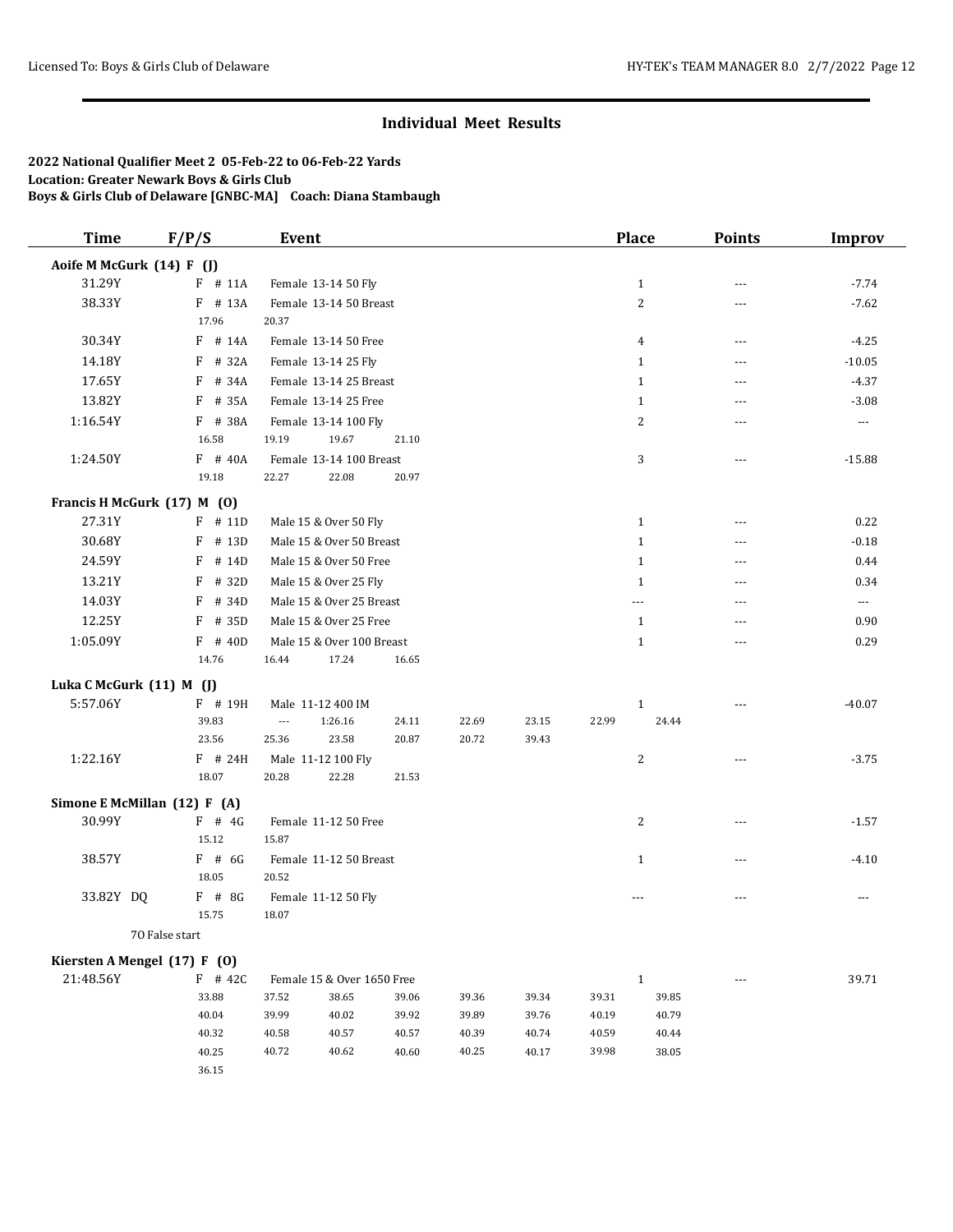| <b>Time</b>                  | F/P/S          | Event                      |         |       |       |       |       | Place          | <b>Points</b>  | <b>Improv</b>        |
|------------------------------|----------------|----------------------------|---------|-------|-------|-------|-------|----------------|----------------|----------------------|
| Aoife M McGurk (14) F (J)    |                |                            |         |       |       |       |       |                |                |                      |
| 31.29Y                       | $F$ # 11A      | Female 13-14 50 Fly        |         |       |       |       |       | $\mathbf{1}$   | ---            | $-7.74$              |
| 38.33Y                       | F # 13A        | Female 13-14 50 Breast     |         |       |       |       |       | $\overline{c}$ | ---            | $-7.62$              |
|                              | 17.96          | 20.37                      |         |       |       |       |       |                |                |                      |
| 30.34Y                       | $F$ # 14A      | Female 13-14 50 Free       |         |       |       |       |       | 4              | ---            | $-4.25$              |
| 14.18Y                       | # 32A<br>F     | Female 13-14 25 Fly        |         |       |       |       |       | $\mathbf{1}$   | $---$          | $-10.05$             |
| 17.65Y                       | # 34A<br>F     | Female 13-14 25 Breast     |         |       |       |       |       | $\mathbf{1}$   | ---            | $-4.37$              |
| 13.82Y                       | F # 35A        | Female 13-14 25 Free       |         |       |       |       |       | $\mathbf{1}$   | $---$          | $-3.08$              |
| 1:16.54Y                     | F # 38A        | Female 13-14 100 Fly       |         |       |       |       |       | 2              | ---            | $\sim$ $\sim$ $\sim$ |
|                              | 16.58          | 19.19                      | 19.67   | 21.10 |       |       |       |                |                |                      |
| 1:24.50Y                     | F # 40A        | Female 13-14 100 Breast    |         |       |       |       |       | 3              | $\overline{a}$ | $-15.88$             |
|                              | 19.18          | 22.27                      | 22.08   | 20.97 |       |       |       |                |                |                      |
| Francis H McGurk (17) M (0)  |                |                            |         |       |       |       |       |                |                |                      |
| 27.31Y                       | $F$ # 11D      | Male 15 & Over 50 Fly      |         |       |       |       |       | $\mathbf{1}$   | ---            | 0.22                 |
| 30.68Y                       | F<br># 13D     | Male 15 & Over 50 Breast   |         |       |       |       |       | $\mathbf{1}$   | $- - -$        | $-0.18$              |
| 24.59Y                       | F<br># 14D     | Male 15 & Over 50 Free     |         |       |       |       |       | $\mathbf{1}$   | $\overline{a}$ | 0.44                 |
| 13.21Y                       | F<br># 32D     | Male 15 & Over 25 Fly      |         |       |       |       |       | $\mathbf{1}$   | $\overline{a}$ | 0.34                 |
| 14.03Y                       | F<br># 34D     | Male 15 & Over 25 Breast   |         |       |       |       |       | ---            | $\overline{a}$ | $---$                |
| 12.25Y                       | F<br># 35D     | Male 15 & Over 25 Free     |         |       |       |       |       | $\mathbf{1}$   | ---            | 0.90                 |
| 1:05.09Y                     | $F$ # 40D      | Male 15 & Over 100 Breast  |         |       |       |       |       | $\mathbf{1}$   | $- - -$        | 0.29                 |
|                              | 14.76          | 16.44                      | 17.24   | 16.65 |       |       |       |                |                |                      |
| Luka C McGurk (11) M (J)     |                |                            |         |       |       |       |       |                |                |                      |
| 5:57.06Y                     | F # 19H        | Male 11-12 400 IM          |         |       |       |       |       | $\mathbf{1}$   | $- - -$        | $-40.07$             |
|                              | 39.83          | $\overline{\phantom{a}}$   | 1:26.16 | 24.11 | 22.69 | 23.15 | 22.99 | 24.44          |                |                      |
|                              | 23.56          | 25.36                      | 23.58   | 20.87 | 20.72 | 39.43 |       |                |                |                      |
| 1:22.16Y                     | $F$ # 24H      | Male 11-12 100 Fly         |         |       |       |       |       | 2              |                | $-3.75$              |
|                              | 18.07          | 20.28                      | 22.28   | 21.53 |       |       |       |                |                |                      |
| Simone E McMillan (12) F (A) |                |                            |         |       |       |       |       |                |                |                      |
| 30.99Y                       | $F$ # 4G       | Female 11-12 50 Free       |         |       |       |       |       | $\overline{c}$ | ---            | $-1.57$              |
|                              | 15.12          | 15.87                      |         |       |       |       |       |                |                |                      |
| 38.57Y                       | $F$ # 6G       | Female 11-12 50 Breast     |         |       |       |       |       | $\mathbf{1}$   | ---            | $-4.10$              |
|                              | 18.05          | 20.52                      |         |       |       |       |       |                |                |                      |
| 33.82Y DQ                    | F # 8G         | Female 11-12 50 Fly        |         |       |       |       |       | $- - -$        | ---            | $- - -$              |
|                              | 15.75          | 18.07                      |         |       |       |       |       |                |                |                      |
|                              | 70 False start |                            |         |       |       |       |       |                |                |                      |
| Kiersten A Mengel (17) F (0) |                |                            |         |       |       |       |       |                |                |                      |
| 21:48.56Y                    | $F$ # 42C      | Female 15 & Over 1650 Free |         |       |       |       |       | $\mathbf{1}$   | $\cdots$       | 39.71                |
|                              | 33.88          | 37.52                      | 38.65   | 39.06 | 39.36 | 39.34 | 39.31 | 39.85          |                |                      |
|                              | 40.04          | 39.99                      | 40.02   | 39.92 | 39.89 | 39.76 | 40.19 | 40.79          |                |                      |
|                              | 40.32          | 40.58                      | 40.57   | 40.57 | 40.39 | 40.74 | 40.59 | 40.44          |                |                      |
|                              | 40.25          | 40.72                      | 40.62   | 40.60 | 40.25 | 40.17 | 39.98 | 38.05          |                |                      |
|                              | 36.15          |                            |         |       |       |       |       |                |                |                      |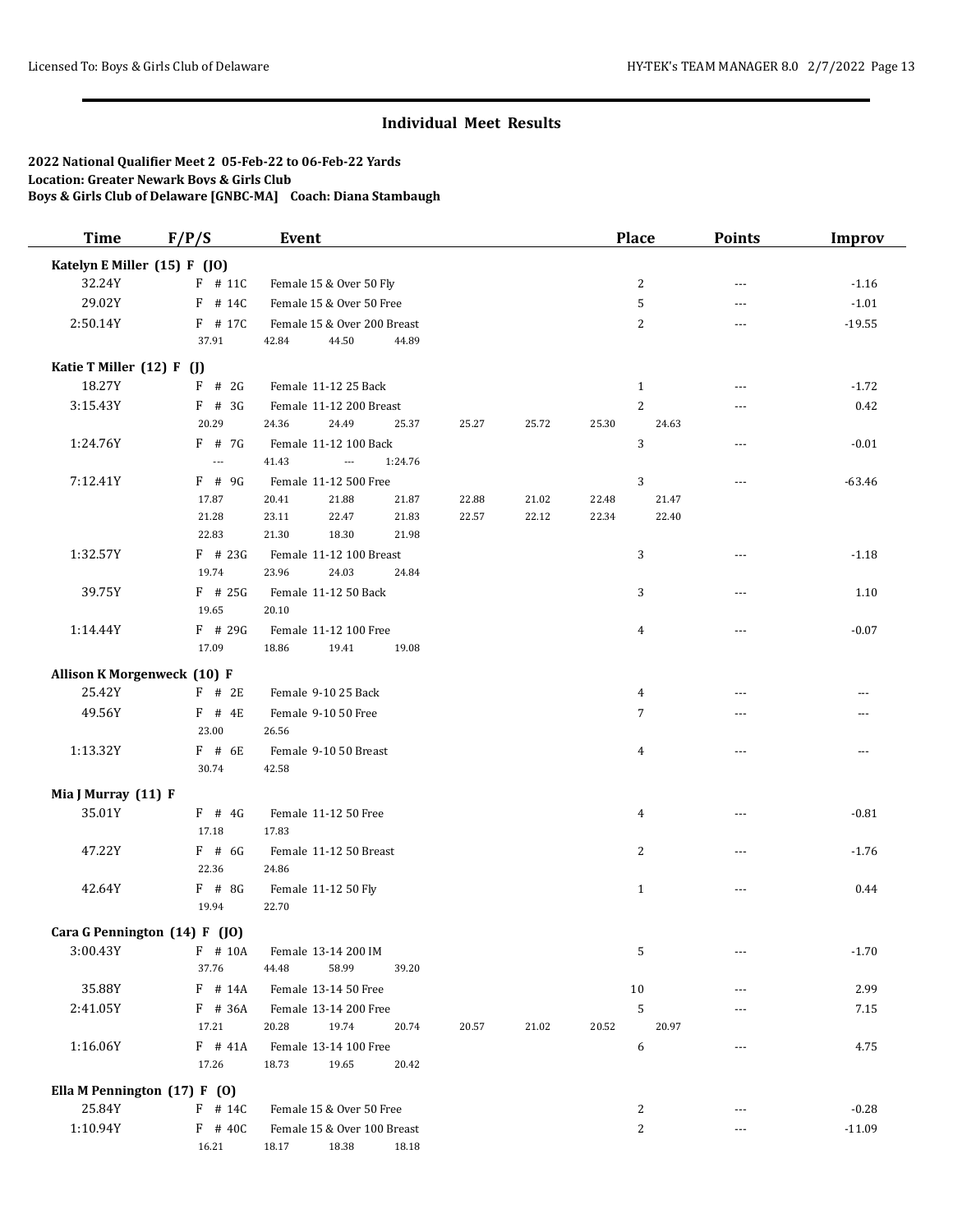| <b>Time</b>                        | F/P/S                         | Event                             |       |       | Place          | <b>Points</b>  | <b>Improv</b> |
|------------------------------------|-------------------------------|-----------------------------------|-------|-------|----------------|----------------|---------------|
| Katelyn E Miller (15) F (JO)       |                               |                                   |       |       |                |                |               |
| 32.24Y                             | $F$ # 11C                     | Female 15 & Over 50 Fly           |       |       | 2              | $\overline{a}$ | $-1.16$       |
| 29.02Y                             | $F$ # 14C                     | Female 15 & Over 50 Free          |       |       | 5              | $---$          | $-1.01$       |
| 2:50.14Y                           | F # 17C                       | Female 15 & Over 200 Breast       |       |       | 2              | ---            | $-19.55$      |
|                                    | 37.91                         | 44.50<br>42.84<br>44.89           |       |       |                |                |               |
| Katie T Miller (12) F (J)          |                               |                                   |       |       |                |                |               |
| 18.27Y                             | $F$ # 2G                      | Female 11-12 25 Back              |       |       | $\mathbf{1}$   | ---            | $-1.72$       |
| 3:15.43Y                           | $F$ # 3G                      | Female 11-12 200 Breast           |       |       | $\overline{c}$ | ---            | 0.42          |
|                                    | 20.29                         | 24.36<br>24.49<br>25.37           | 25.27 | 25.72 | 25.30<br>24.63 |                |               |
| 1:24.76Y                           | $F$ # 7G                      | Female 11-12 100 Back             |       |       | 3              | $---$          | $-0.01$       |
|                                    | $\overline{a}$                | 41.43<br>1:24.76<br>$\sim$ $\sim$ |       |       |                |                |               |
| 7:12.41Y                           | $F$ # 9G                      | Female 11-12 500 Free             |       |       | 3              | $\overline{a}$ | $-63.46$      |
|                                    | 17.87                         | 20.41<br>21.88<br>21.87           | 22.88 | 21.02 | 22.48<br>21.47 |                |               |
|                                    | 21.28                         | 23.11<br>22.47<br>21.83           | 22.57 | 22.12 | 22.34<br>22.40 |                |               |
|                                    | 22.83                         | 21.30<br>18.30<br>21.98           |       |       |                |                |               |
| 1:32.57Y                           | $F$ # 23G                     | Female 11-12 100 Breast           |       |       | 3              | $---$          | $-1.18$       |
|                                    | 19.74                         | 23.96<br>24.03<br>24.84           |       |       |                |                |               |
| 39.75Y                             | $F$ # 25G                     | Female 11-12 50 Back              |       |       | 3              | $---$          | 1.10          |
|                                    | 19.65                         | 20.10                             |       |       |                |                |               |
| 1:14.44Y                           | $F$ # 29G                     | Female 11-12 100 Free             |       |       | 4              | ---            | $-0.07$       |
|                                    | 17.09                         | 18.86<br>19.41<br>19.08           |       |       |                |                |               |
| <b>Allison K Morgenweck (10) F</b> |                               |                                   |       |       |                |                |               |
| 25.42Y                             | $F$ # 2E                      | Female 9-10 25 Back               |       |       | 4              |                |               |
| 49.56Y                             | $F$ # 4E                      | Female 9-10 50 Free               |       |       | 7              | ---            |               |
|                                    | 23.00                         | 26.56                             |       |       |                |                |               |
| 1:13.32Y                           | $F$ # 6E                      | Female 9-10 50 Breast             |       |       | $\overline{4}$ |                |               |
|                                    | 30.74                         | 42.58                             |       |       |                |                |               |
| Mia J Murray (11) F                |                               |                                   |       |       |                |                |               |
| 35.01Y                             | $F$ # 4G                      | Female 11-12 50 Free              |       |       | 4              | ---            | $-0.81$       |
|                                    | 17.18                         | 17.83                             |       |       |                |                |               |
| 47.22Y                             | $F$ # 6G                      | Female 11-12 50 Breast            |       |       | 2              | $\overline{a}$ | $-1.76$       |
|                                    | 22.36                         | 24.86                             |       |       |                |                |               |
| 42.64Y                             | $F$ # 8G                      | Female 11-12 50 Fly               |       |       | $\mathbf{1}$   | $---$          | 0.44          |
|                                    | 19.94                         | 22.70                             |       |       |                |                |               |
|                                    | Cara G Pennington (14) F (JO) |                                   |       |       |                |                |               |
| 3:00.43Y                           | $F$ # 10A                     | Female 13-14 200 IM               |       |       | 5              | $- - -$        | $-1.70$       |
|                                    | 37.76                         | 44.48<br>58.99<br>39.20           |       |       |                |                |               |
| 35.88Y                             | F # 14A                       | Female 13-14 50 Free              |       |       | 10             | $---$          | 2.99          |
| 2:41.05Y                           | F # 36A                       | Female 13-14 200 Free             |       |       | 5              |                | 7.15          |
|                                    | 17.21                         | 20.28<br>19.74<br>20.74           | 20.57 | 21.02 | 20.97<br>20.52 |                |               |
| 1:16.06Y                           | $F$ # 41A                     | Female 13-14 100 Free             |       |       | 6              | ---            | 4.75          |
|                                    | 17.26                         | 18.73<br>19.65<br>20.42           |       |       |                |                |               |
| Ella M Pennington (17) F (0)       |                               |                                   |       |       |                |                |               |
| 25.84Y                             | $F$ # 14C                     | Female 15 & Over 50 Free          |       |       | 2              | $---$          | $-0.28$       |
| 1:10.94Y                           | $F$ # 40C                     | Female 15 & Over 100 Breast       |       |       | $\overline{c}$ | ---            | $-11.09$      |
|                                    | 16.21                         | 18.17<br>18.38<br>18.18           |       |       |                |                |               |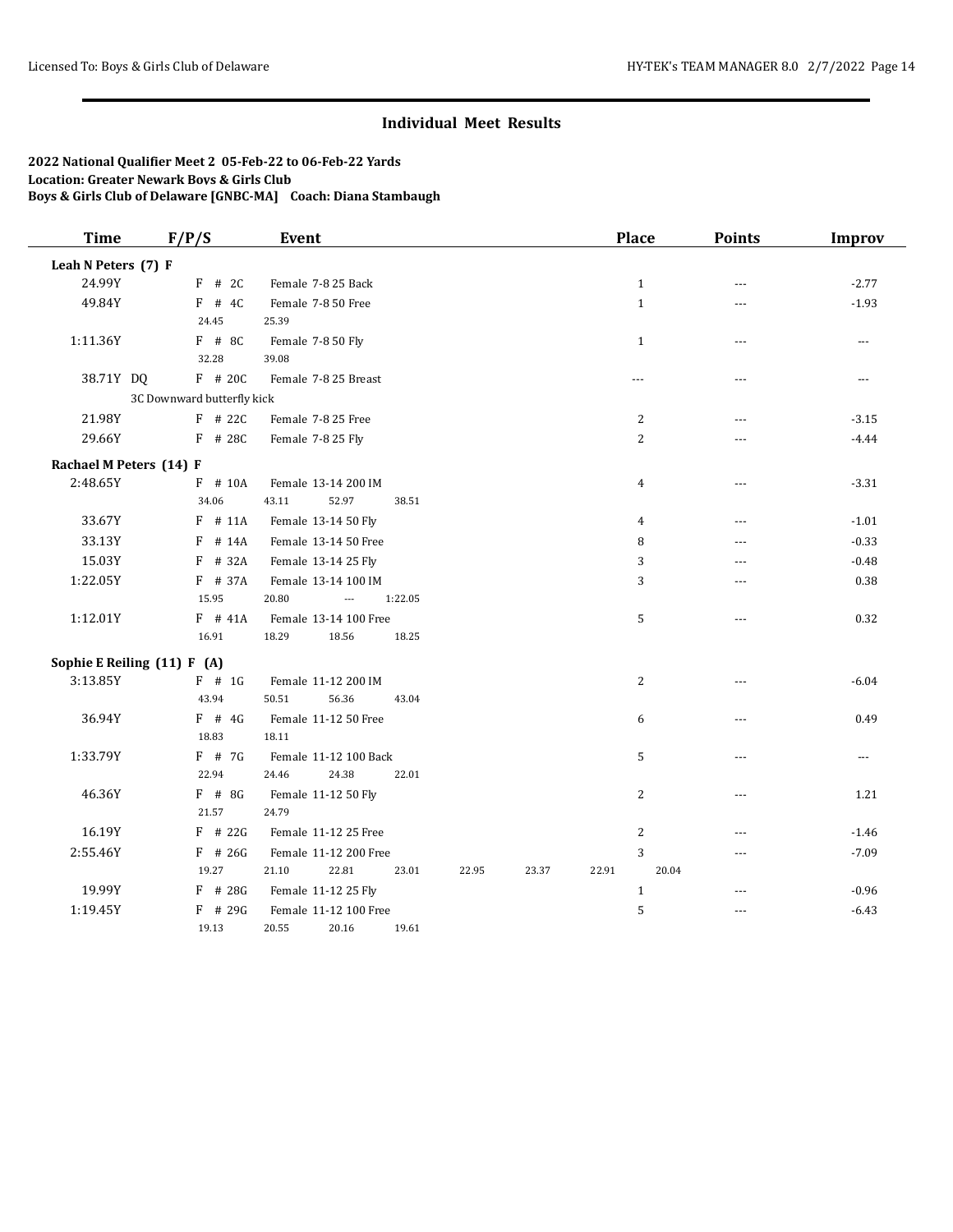| <b>Time</b>                 | F/P/S                      | Event                                   |         |       |       |       | Place          | <b>Points</b>  | <b>Improv</b>  |
|-----------------------------|----------------------------|-----------------------------------------|---------|-------|-------|-------|----------------|----------------|----------------|
| Leah N Peters (7) F         |                            |                                         |         |       |       |       |                |                |                |
| 24.99Y                      | $F$ # 2C                   | Female 7-8 25 Back                      |         |       |       |       | $1\,$          | ---            | $-2.77$        |
| 49.84Y                      | $F$ # 4C                   | Female 7-8 50 Free                      |         |       |       |       | $\mathbf{1}$   | $- - -$        | $-1.93$        |
|                             | 24.45                      | 25.39                                   |         |       |       |       |                |                |                |
| 1:11.36Y                    | $F$ # 8C                   | Female 7-8 50 Fly                       |         |       |       |       | $\mathbf{1}$   | $---$          | $\overline{a}$ |
|                             | 32.28                      | 39.08                                   |         |       |       |       |                |                |                |
| 38.71Y DQ                   | F # 20C                    | Female 7-8 25 Breast                    |         |       |       |       | $- - -$        | $- - -$        | $\ldots$       |
|                             | 3C Downward butterfly kick |                                         |         |       |       |       |                |                |                |
| 21.98Y                      | $F$ # 22C                  | Female 7-8 25 Free                      |         |       |       |       | 2              | ---            | $-3.15$        |
| 29.66Y                      | F # 28C                    | Female 7-8 25 Fly                       |         |       |       |       | $\overline{2}$ | ---            | $-4.44$        |
| Rachael M Peters (14) F     |                            |                                         |         |       |       |       |                |                |                |
| 2:48.65Y                    | $F$ # 10A                  | Female 13-14 200 IM                     |         |       |       |       | $\overline{4}$ | $\overline{a}$ | $-3.31$        |
|                             | 34.06                      | 43.11<br>52.97                          | 38.51   |       |       |       |                |                |                |
| 33.67Y                      | $F$ # 11A                  | Female 13-14 50 Fly                     |         |       |       |       | $\overline{4}$ | ---            | $-1.01$        |
| 33.13Y                      | $F$ # 14A                  | Female 13-14 50 Free                    |         |       |       |       | 8              | ---            | $-0.33$        |
| 15.03Y                      | $F$ # 32A                  | Female 13-14 25 Fly                     |         |       |       |       | 3              | ---            | $-0.48$        |
| 1:22.05Y                    | F # 37A                    | Female 13-14 100 IM                     |         |       |       |       | $\sqrt{3}$     |                | 0.38           |
|                             | 15.95                      | 20.80<br>$\overline{a}$                 | 1:22.05 |       |       |       |                |                |                |
| 1:12.01Y                    | $F$ # 41A                  | Female 13-14 100 Free                   |         |       |       |       | 5              | ---            | 0.32           |
|                             | 16.91                      | 18.29<br>18.56                          | 18.25   |       |       |       |                |                |                |
| Sophie E Reiling (11) F (A) |                            |                                         |         |       |       |       |                |                |                |
| 3:13.85Y                    | $F$ # 1G                   | Female 11-12 200 IM                     |         |       |       |       | $\overline{2}$ | ---            | $-6.04$        |
|                             | 43.94                      | 56.36<br>50.51                          | 43.04   |       |       |       |                |                |                |
| 36.94Y                      | $F$ # 4G                   | Female 11-12 50 Free                    |         |       |       |       | 6              | $- - -$        | 0.49           |
|                             | 18.83                      | 18.11                                   |         |       |       |       |                |                |                |
| 1:33.79Y                    | $F$ # 7G                   | Female 11-12 100 Back                   |         |       |       |       | 5              | ---            | $\cdots$       |
|                             | 22.94                      | 24.38<br>24.46                          | 22.01   |       |       |       |                |                |                |
| 46.36Y                      | $F$ # 8G                   | Female 11-12 50 Fly                     |         |       |       |       | 2              | ---            | 1.21           |
|                             | 21.57                      | 24.79                                   |         |       |       |       |                |                |                |
| 16.19Y                      | $F$ # 22G                  | Female 11-12 25 Free                    |         |       |       |       | $\sqrt{2}$     | $-$ --         | $-1.46$        |
| 2:55.46Y                    | $F$ # 26G<br>19.27         | Female 11-12 200 Free<br>22.81<br>21.10 | 23.01   | 22.95 | 23.37 | 22.91 | 3<br>20.04     | ---            | $-7.09$        |
|                             |                            |                                         |         |       |       |       |                |                |                |
| 19.99Y                      | $F$ # 28G                  | Female 11-12 25 Fly                     |         |       |       |       | $1\,$          | ---            | $-0.96$        |
| 1:19.45Y                    | $F$ # 29G<br>19.13         | Female 11-12 100 Free<br>20.55<br>20.16 | 19.61   |       |       |       | 5              | ---            | $-6.43$        |
|                             |                            |                                         |         |       |       |       |                |                |                |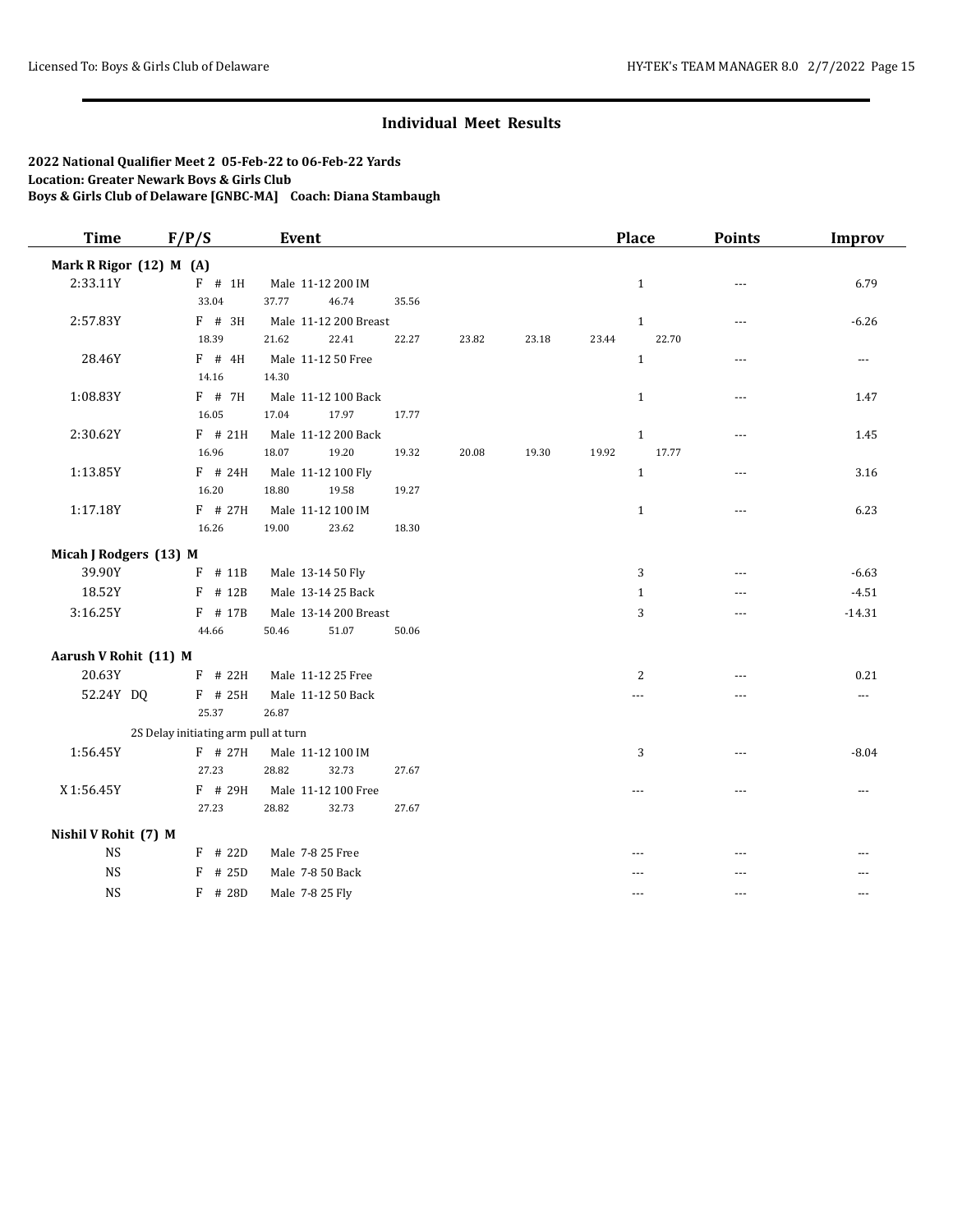| Mark R Rigor (12) M (A) |                                      |                       |       |       |       |       |              |                |                |
|-------------------------|--------------------------------------|-----------------------|-------|-------|-------|-------|--------------|----------------|----------------|
|                         |                                      |                       |       |       |       |       |              |                |                |
| 2:33.11Y                | $F$ # 1H                             | Male 11-12 200 IM     |       |       |       |       | $\mathbf{1}$ | $- - -$        | 6.79           |
|                         | 33.04                                | 37.77<br>46.74        | 35.56 |       |       |       |              |                |                |
| 2:57.83Y                | F # 3H                               | Male 11-12 200 Breast |       |       |       |       | $\,1\,$      | $\overline{a}$ | $-6.26$        |
|                         | 18.39                                | 21.62<br>22.41        | 22.27 | 23.82 | 23.18 | 23.44 | 22.70        |                |                |
| 28.46Y                  | $F$ # 4H                             | Male 11-12 50 Free    |       |       |       |       | $\mathbf{1}$ | $---$          | $\overline{a}$ |
|                         | 14.16                                | 14.30                 |       |       |       |       |              |                |                |
| 1:08.83Y                | F # 7H                               | Male 11-12 100 Back   |       |       |       |       | $\mathbf{1}$ | $- - -$        | 1.47           |
|                         | 16.05                                | 17.04<br>17.97        | 17.77 |       |       |       |              |                |                |
| 2:30.62Y                | $F$ # 21H                            | Male 11-12 200 Back   |       |       |       |       | $\mathbf{1}$ | ---            | 1.45           |
|                         | 16.96                                | 18.07<br>19.20        | 19.32 | 20.08 | 19.30 | 19.92 | 17.77        |                |                |
| 1:13.85Y                | $F$ # 24H                            | Male 11-12 100 Fly    |       |       |       |       | $\mathbf{1}$ | ---            | 3.16           |
|                         | 16.20                                | 18.80<br>19.58        | 19.27 |       |       |       |              |                |                |
| 1:17.18Y                | $F$ # 27H                            | Male 11-12 100 IM     |       |       |       |       | $\mathbf{1}$ | $\overline{a}$ | 6.23           |
|                         | 16.26                                | 19.00<br>23.62        | 18.30 |       |       |       |              |                |                |
| Micah J Rodgers (13) M  |                                      |                       |       |       |       |       |              |                |                |
| 39.90Y                  | F # 11B                              | Male 13-14 50 Fly     |       |       |       |       | 3            | $- - -$        | $-6.63$        |
| 18.52Y                  | $F$ # 12B                            | Male 13-14 25 Back    |       |       |       |       | 1            | $---$          | $-4.51$        |
| 3:16.25Y                | F # 17B                              | Male 13-14 200 Breast |       |       |       |       | 3            | $- - -$        | $-14.31$       |
|                         | 44.66                                | 50.46<br>51.07        | 50.06 |       |       |       |              |                |                |
| Aarush V Rohit (11) M   |                                      |                       |       |       |       |       |              |                |                |
| 20.63Y                  | $F$ # 22H                            | Male 11-12 25 Free    |       |       |       |       | 2            | $- - -$        | 0.21           |
| 52.24Y DQ               | F # 25H                              | Male 11-12 50 Back    |       |       |       |       | ---          | ---            | $\ldots$       |
|                         | 25.37                                | 26.87                 |       |       |       |       |              |                |                |
|                         | 2S Delay initiating arm pull at turn |                       |       |       |       |       |              |                |                |
| 1:56.45Y                | $F$ # 27H                            | Male 11-12 100 IM     |       |       |       |       | 3            | $- - -$        | $-8.04$        |
|                         | 27.23                                | 28.82<br>32.73        | 27.67 |       |       |       |              |                |                |
| X 1:56.45Y              | F # 29H                              | Male 11-12 100 Free   |       |       |       |       | $- - -$      | $- - -$        | $\cdots$       |
|                         | 27.23                                | 28.82<br>32.73        | 27.67 |       |       |       |              |                |                |
| Nishil V Rohit (7) M    |                                      |                       |       |       |       |       |              |                |                |
| <b>NS</b>               | $F$ # 22D                            | Male 7-8 25 Free      |       |       |       |       |              |                |                |
| <b>NS</b>               | # 25D<br>F                           | Male 7-8 50 Back      |       |       |       |       |              |                |                |
| <b>NS</b>               | F # 28D                              | Male 7-8 25 Fly       |       |       |       |       | ---          | $- - -$        | $---$          |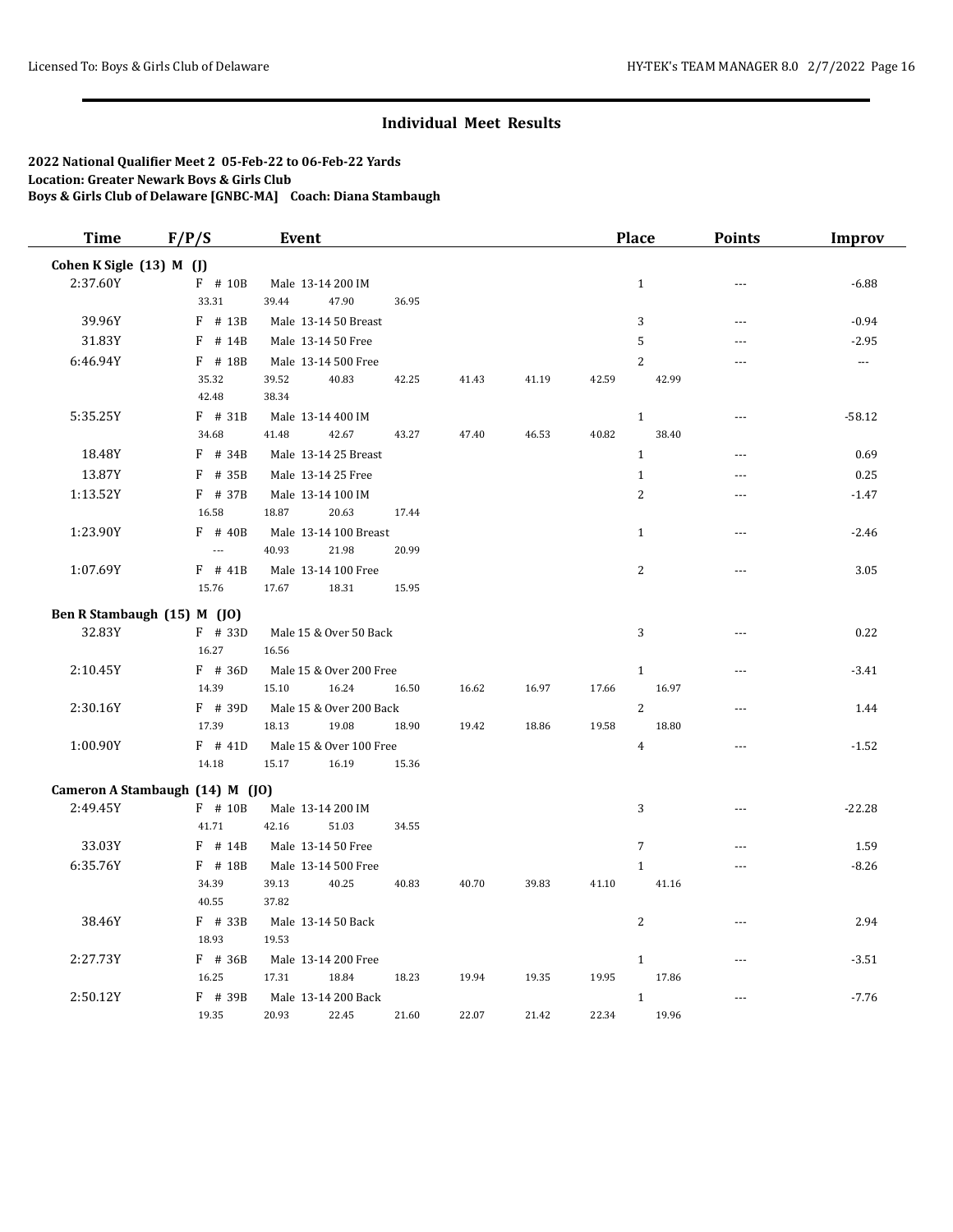| <b>Time</b>              | F/P/S                           | <b>Event</b>            |       |       |       |       | <b>Place</b>    | <b>Points</b>  | <b>Improv</b>  |
|--------------------------|---------------------------------|-------------------------|-------|-------|-------|-------|-----------------|----------------|----------------|
| Cohen K Sigle (13) M (J) |                                 |                         |       |       |       |       |                 |                |                |
| 2:37.60Y                 | F # 10B                         | Male 13-14 200 IM       |       |       |       |       | $\mathbf{1}$    | ---            | $-6.88$        |
|                          | 33.31                           | 39.44<br>47.90          | 36.95 |       |       |       |                 |                |                |
| 39.96Y                   | $F$ # 13B                       | Male 13-14 50 Breast    |       |       |       |       | 3               | $-$            | $-0.94$        |
| 31.83Y                   | $F$ # 14B                       | Male 13-14 50 Free      |       |       |       |       | 5               | ---            | $-2.95$        |
| 6:46.94Y                 | $F$ # 18B                       | Male 13-14 500 Free     |       |       |       |       | $\overline{c}$  | $-$ --         | $\overline{a}$ |
|                          | 35.32                           | 39.52<br>40.83          | 42.25 | 41.43 | 41.19 | 42.59 | 42.99           |                |                |
|                          | 42.48                           | 38.34                   |       |       |       |       |                 |                |                |
| 5:35.25Y                 | $F$ # 31B                       | Male 13-14 400 IM       |       |       |       |       | $\mathbf{1}$    | $---$          | $-58.12$       |
|                          | 34.68                           | 41.48<br>42.67          | 43.27 | 47.40 | 46.53 | 40.82 | 38.40           |                |                |
| 18.48Y                   | $F$ # 34B                       | Male 13-14 25 Breast    |       |       |       |       | $\mathbf{1}$    | $-$            | 0.69           |
| 13.87Y                   | $F$ # 35B                       | Male 13-14 25 Free      |       |       |       |       | $\mathbf{1}$    | $-$ --         | 0.25           |
| 1:13.52Y                 | $F$ # 37B                       | Male 13-14 100 IM       |       |       |       |       | $\overline{2}$  |                | $-1.47$        |
|                          | 16.58                           | 18.87<br>20.63          | 17.44 |       |       |       |                 |                |                |
| 1:23.90Y                 | $F$ # 40B                       | Male 13-14 100 Breast   |       |       |       |       | $\mathbf{1}$    | $\overline{a}$ | $-2.46$        |
|                          | $\overline{a}$                  | 40.93<br>21.98          | 20.99 |       |       |       |                 |                |                |
| 1:07.69Y                 | $F$ # 41B                       | Male 13-14 100 Free     |       |       |       |       | $\overline{c}$  | $\overline{a}$ | 3.05           |
|                          | 15.76                           | 17.67<br>18.31          | 15.95 |       |       |       |                 |                |                |
|                          | Ben R Stambaugh (15) M (JO)     |                         |       |       |       |       |                 |                |                |
| 32.83Y                   | $F$ # 33D                       | Male 15 & Over 50 Back  |       |       |       |       | 3               | ---            | 0.22           |
|                          | 16.27                           | 16.56                   |       |       |       |       |                 |                |                |
| 2:10.45Y                 | $F$ # 36D                       | Male 15 & Over 200 Free |       |       |       |       | $\mathbf{1}$    | $\overline{a}$ | $-3.41$        |
|                          | 14.39                           | 15.10<br>16.24          | 16.50 | 16.62 | 16.97 | 17.66 | 16.97           |                |                |
| 2:30.16Y                 | F # 39D                         | Male 15 & Over 200 Back |       |       |       |       | $\overline{2}$  | ---            | 1.44           |
|                          | 17.39                           | 18.13<br>19.08          | 18.90 | 19.42 | 18.86 | 19.58 | 18.80           |                |                |
| 1:00.90Y                 | $F$ # 41D                       | Male 15 & Over 100 Free |       |       |       |       | $\overline{4}$  | $-$            | $-1.52$        |
|                          | 14.18                           | 15.17<br>16.19          | 15.36 |       |       |       |                 |                |                |
|                          | Cameron A Stambaugh (14) M (JO) |                         |       |       |       |       |                 |                |                |
| 2:49.45Y                 | F # 10B                         | Male 13-14 200 IM       |       |       |       |       | 3               | ---            | $-22.28$       |
|                          | 41.71                           | 42.16<br>51.03          | 34.55 |       |       |       |                 |                |                |
| 33.03Y                   | $F$ # 14B                       | Male 13-14 50 Free      |       |       |       |       | $7\overline{ }$ | ---            | 1.59           |
| 6:35.76Y                 | $F$ # 18B                       | Male 13-14 500 Free     |       |       |       |       | $\mathbf{1}$    | $ -$           | $-8.26$        |
|                          | 34.39                           | 40.25<br>39.13          | 40.83 | 40.70 | 39.83 | 41.10 | 41.16           |                |                |
|                          | 40.55                           | 37.82                   |       |       |       |       |                 |                |                |
| 38.46Y                   | F # 33B                         | Male 13-14 50 Back      |       |       |       |       | 2               | ---            | 2.94           |
|                          | 18.93                           | 19.53                   |       |       |       |       |                 |                |                |
| 2:27.73Y                 | $F$ # 36B                       | Male 13-14 200 Free     |       |       |       |       | $\mathbf{1}$    | ---            | $-3.51$        |
|                          | 16.25                           | 17.31<br>18.84          | 18.23 | 19.94 | 19.35 | 19.95 | 17.86           |                |                |
| 2:50.12Y                 | $F$ # 39B                       | Male 13-14 200 Back     |       |       |       |       | $\mathbf{1}$    | ---            | $-7.76$        |
|                          | 19.35                           | 20.93<br>22.45          | 21.60 | 22.07 | 21.42 | 22.34 | 19.96           |                |                |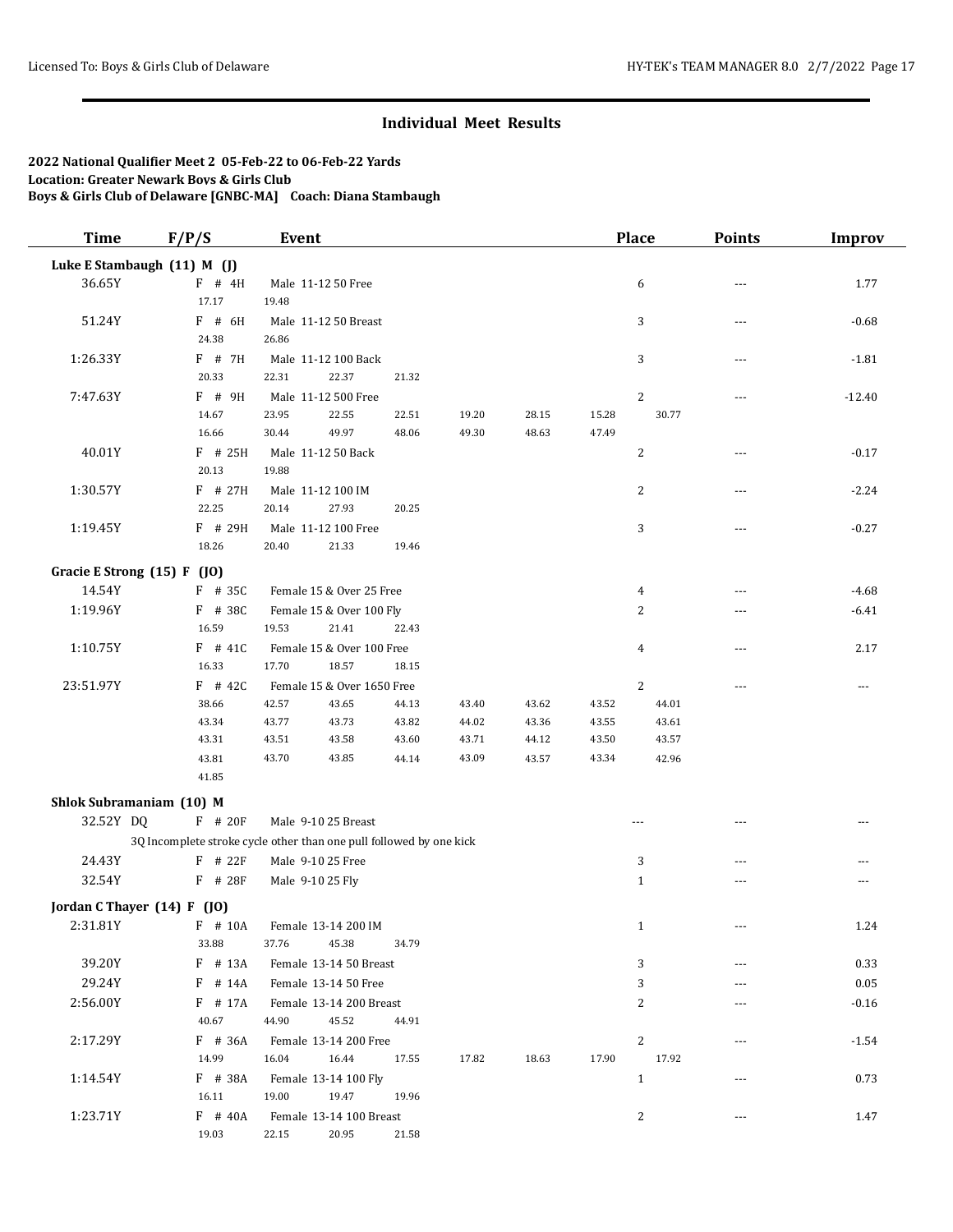| <b>Time</b>                 | F/P/S                       | <b>Event</b>                                                        |       |       |       |       | <b>Place</b>   | <b>Points</b> | <b>Improv</b> |
|-----------------------------|-----------------------------|---------------------------------------------------------------------|-------|-------|-------|-------|----------------|---------------|---------------|
|                             | Luke E Stambaugh (11) M (J) |                                                                     |       |       |       |       |                |               |               |
| 36.65Y                      | $F$ # 4H                    | Male 11-12 50 Free                                                  |       |       |       |       | 6              | ---           | 1.77          |
|                             | 17.17                       | 19.48                                                               |       |       |       |       |                |               |               |
| 51.24Y                      | $F$ # 6H                    | Male 11-12 50 Breast                                                |       |       |       |       | 3              | ---           | $-0.68$       |
|                             | 24.38                       | 26.86                                                               |       |       |       |       |                |               |               |
| 1:26.33Y                    | F # 7H                      | Male 11-12 100 Back                                                 |       |       |       |       | 3              | $- - -$       | $-1.81$       |
|                             | 20.33                       | 22.31<br>22.37                                                      | 21.32 |       |       |       |                |               |               |
| 7:47.63Y                    | F # 9H                      | Male 11-12 500 Free                                                 |       |       |       |       | $\overline{c}$ | ---           | $-12.40$      |
|                             | 14.67                       | 23.95<br>22.55                                                      | 22.51 | 19.20 | 28.15 | 15.28 | 30.77          |               |               |
|                             | 16.66                       | 30.44<br>49.97                                                      | 48.06 | 49.30 | 48.63 | 47.49 |                |               |               |
| 40.01Y                      | $F$ # 25H                   | Male 11-12 50 Back                                                  |       |       |       |       | 2              | $---$         | $-0.17$       |
|                             | 20.13                       | 19.88                                                               |       |       |       |       |                |               |               |
| 1:30.57Y                    | $F$ # 27H                   | Male 11-12 100 IM                                                   |       |       |       |       | 2              | ---           | $-2.24$       |
|                             | 22.25                       | 27.93<br>20.14                                                      | 20.25 |       |       |       |                |               |               |
| 1:19.45Y                    | $F$ # 29H                   | Male 11-12 100 Free                                                 |       |       |       |       | 3              |               | $-0.27$       |
|                             | 18.26                       | 20.40<br>21.33                                                      | 19.46 |       |       |       |                |               |               |
| Gracie E Strong (15) F (JO) |                             |                                                                     |       |       |       |       |                |               |               |
| 14.54Y                      | $F$ # 35C                   | Female 15 & Over 25 Free                                            |       |       |       |       | 4              | ---           | $-4.68$       |
| 1:19.96Y                    | $F$ # 38C                   | Female 15 & Over 100 Fly                                            |       |       |       |       | 2              | ---           | $-6.41$       |
|                             | 16.59                       | 21.41<br>19.53                                                      | 22.43 |       |       |       |                |               |               |
| 1:10.75Y                    | $F$ # 41C                   | Female 15 & Over 100 Free                                           |       |       |       |       | $\overline{4}$ | $- - -$       | 2.17          |
|                             | 16.33                       | 17.70<br>18.57                                                      | 18.15 |       |       |       |                |               |               |
| 23:51.97Y                   | $F$ # 42C                   | Female 15 & Over 1650 Free                                          |       |       |       |       | $\overline{c}$ | $- - -$       | $---$         |
|                             | 38.66                       | 42.57<br>43.65                                                      | 44.13 | 43.40 | 43.62 | 43.52 | 44.01          |               |               |
|                             | 43.34                       | 43.77<br>43.73                                                      | 43.82 | 44.02 | 43.36 | 43.55 | 43.61          |               |               |
|                             | 43.31                       | 43.51<br>43.58                                                      | 43.60 | 43.71 | 44.12 | 43.50 | 43.57          |               |               |
|                             | 43.81                       | 43.70<br>43.85                                                      | 44.14 | 43.09 | 43.57 | 43.34 | 42.96          |               |               |
|                             | 41.85                       |                                                                     |       |       |       |       |                |               |               |
| Shlok Subramaniam (10) M    |                             |                                                                     |       |       |       |       |                |               |               |
| 32.52Y DQ                   | F # 20F                     | Male 9-10 25 Breast                                                 |       |       |       |       | $- - -$        | $---$         | $---$         |
|                             |                             | 3Q Incomplete stroke cycle other than one pull followed by one kick |       |       |       |       |                |               |               |
| 24.43Y                      | $F$ # 22 $F$                | Male 9-10 25 Free                                                   |       |       |       |       | 3              | $---$         | ---           |
| 32.54Y                      | F # 28F                     | Male 9-10 25 Fly                                                    |       |       |       |       | $\mathbf{1}$   | ---           | $- - -$       |
|                             |                             |                                                                     |       |       |       |       |                |               |               |
| Jordan C Thayer (14) F (JO) |                             |                                                                     |       |       |       |       |                |               |               |
| 2:31.81Y                    | $F$ # 10A                   | Female 13-14 200 IM                                                 |       |       |       |       | 1              |               | 1.24          |
|                             | 33.88                       | 37.76<br>45.38                                                      | 34.79 |       |       |       |                |               |               |
| 39.20Y                      | F # 13A                     | Female 13-14 50 Breast                                              |       |       |       |       | 3              | $---$         | 0.33          |
| 29.24Y                      | $F$ # 14A                   | Female 13-14 50 Free                                                |       |       |       |       | 3              | ---           | 0.05          |
| 2:56.00Y                    | $F$ # 17A                   | Female 13-14 200 Breast                                             |       |       |       |       | 2              | $---$         | $-0.16$       |
|                             | 40.67                       | 44.90<br>45.52                                                      | 44.91 |       |       |       |                |               |               |
| 2:17.29Y                    | $F$ # 36A                   | Female 13-14 200 Free                                               |       |       |       |       | 2              |               | $-1.54$       |
|                             | 14.99                       | 16.04<br>16.44                                                      | 17.55 | 17.82 | 18.63 | 17.90 | 17.92          |               |               |
| 1:14.54Y                    | F # 38A                     | Female 13-14 100 Fly                                                |       |       |       |       | $\mathbf{1}$   |               | 0.73          |
|                             | 16.11                       | 19.00<br>19.47                                                      | 19.96 |       |       |       |                |               |               |
| 1:23.71Y                    | F # 40A                     | Female 13-14 100 Breast                                             |       |       |       |       | 2              | $---$         | 1.47          |
|                             | 19.03                       | 22.15<br>20.95                                                      | 21.58 |       |       |       |                |               |               |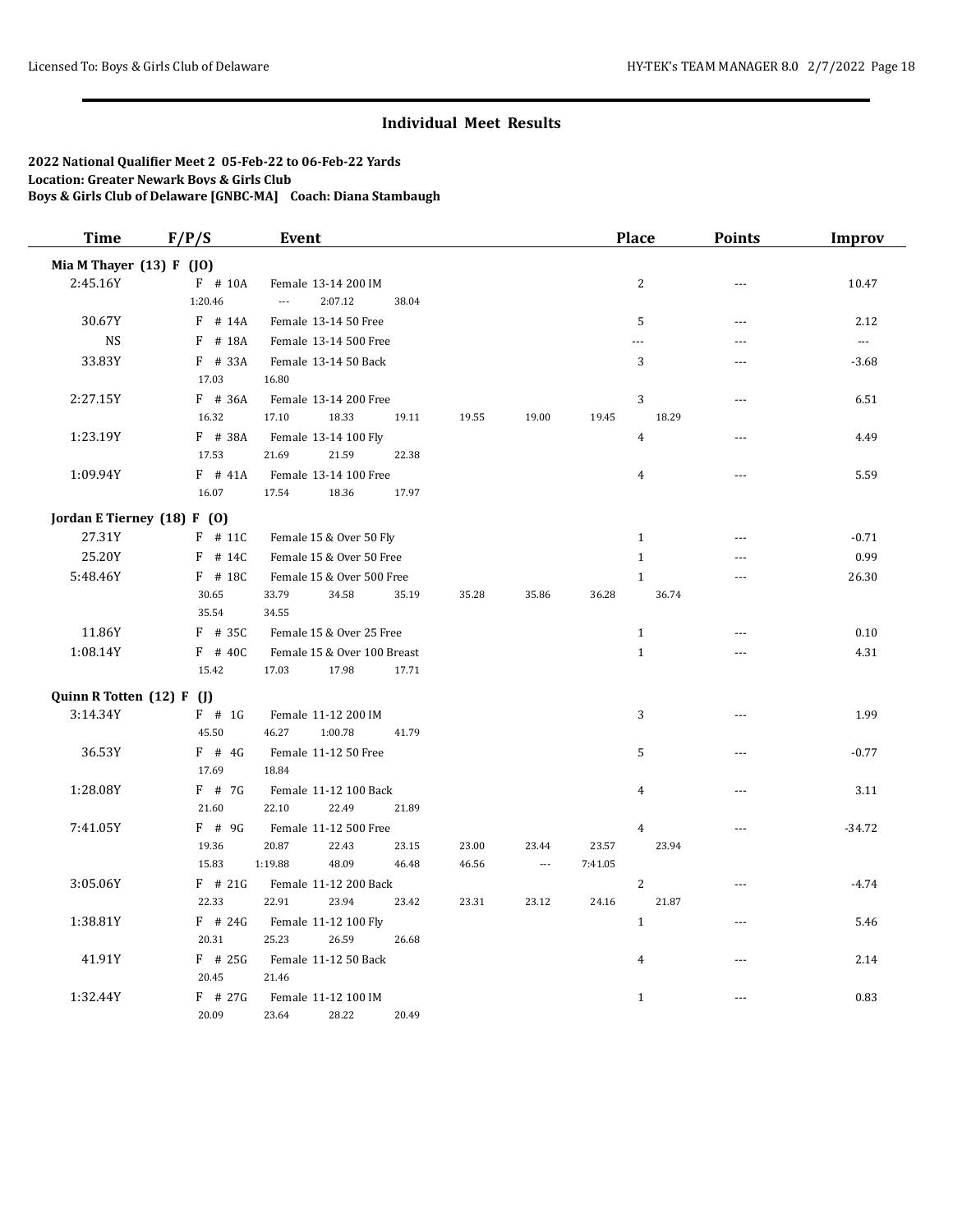| <b>Time</b>                 | F/P/S     | Event                       |       |       |                |         | <b>Place</b>     | <b>Points</b>  | <b>Improv</b>            |
|-----------------------------|-----------|-----------------------------|-------|-------|----------------|---------|------------------|----------------|--------------------------|
| Mia M Thayer (13) F (JO)    |           |                             |       |       |                |         |                  |                |                          |
| 2:45.16Y                    | F # 10A   | Female 13-14 200 IM         |       |       |                |         | $\overline{c}$   | $\overline{a}$ | 10.47                    |
|                             | 1:20.46   | 2:07.12<br>$\overline{a}$   | 38.04 |       |                |         |                  |                |                          |
| 30.67Y                      | $F$ # 14A | Female 13-14 50 Free        |       |       |                |         | 5                | $\overline{a}$ | 2.12                     |
| <b>NS</b>                   | F # 18A   | Female 13-14 500 Free       |       |       |                |         | $---$            | ---            | $\overline{\phantom{a}}$ |
| 33.83Y                      | $F$ # 33A | Female 13-14 50 Back        |       |       |                |         | 3                |                | $-3.68$                  |
|                             | 17.03     | 16.80                       |       |       |                |         |                  |                |                          |
| 2:27.15Y                    | $F$ # 36A | Female 13-14 200 Free       |       |       |                |         | 3                | $\sim$ $\sim$  | 6.51                     |
|                             | 16.32     | 17.10<br>18.33              | 19.11 | 19.55 | 19.00          | 19.45   | 18.29            |                |                          |
| 1:23.19Y                    | $F$ # 38A | Female 13-14 100 Fly        |       |       |                |         | $\overline{4}$   | $\overline{a}$ | 4.49                     |
|                             | 17.53     | 21.69<br>21.59              | 22.38 |       |                |         |                  |                |                          |
| 1:09.94Y                    | $F$ # 41A | Female 13-14 100 Free       |       |       |                |         | $\overline{4}$   | $\sim$         | 5.59                     |
|                             | 16.07     | 17.54<br>18.36              | 17.97 |       |                |         |                  |                |                          |
| Jordan E Tierney (18) F (0) |           |                             |       |       |                |         |                  |                |                          |
| 27.31Y                      | $F$ # 11C | Female 15 & Over 50 Fly     |       |       |                |         | $\mathbf{1}$     | $- - -$        | $-0.71$                  |
| 25.20Y                      | $F$ # 14C | Female 15 & Over 50 Free    |       |       |                |         | $\mathbf{1}$     | ---            | 0.99                     |
| 5:48.46Y                    | $F$ # 18C | Female 15 & Over 500 Free   |       |       |                |         | $\mathbf{1}$     | $\sim$         | 26.30                    |
|                             | 30.65     | 33.79<br>34.58              | 35.19 | 35.28 | 35.86          | 36.28   | 36.74            |                |                          |
|                             | 35.54     | 34.55                       |       |       |                |         |                  |                |                          |
| 11.86Y                      | $F$ # 35C | Female 15 & Over 25 Free    |       |       |                |         | $\mathbf{1}$     | ---            | 0.10                     |
| 1:08.14Y                    | F # 40C   | Female 15 & Over 100 Breast |       |       |                |         | $\mathbf{1}$     | $\sim$ $\sim$  | 4.31                     |
|                             | 15.42     | 17.98<br>17.03              | 17.71 |       |                |         |                  |                |                          |
| Quinn R Totten (12) F (J)   |           |                             |       |       |                |         |                  |                |                          |
| 3:14.34Y                    | $F$ # 1G  | Female 11-12 200 IM         |       |       |                |         | 3                | $- - -$        | 1.99                     |
|                             | 45.50     | 1:00.78<br>46.27            | 41.79 |       |                |         |                  |                |                          |
| 36.53Y                      | $F$ # 4G  | Female 11-12 50 Free        |       |       |                |         | 5                | $\sim$ $\sim$  | $-0.77$                  |
|                             | 17.69     | 18.84                       |       |       |                |         |                  |                |                          |
| 1:28.08Y                    | $F$ # 7G  | Female 11-12 100 Back       |       |       |                |         | $\overline{4}$   | $-$            | 3.11                     |
|                             | 21.60     | 22.10<br>22.49              | 21.89 |       |                |         |                  |                |                          |
| 7:41.05Y                    | $F$ # 9G  | Female 11-12 500 Free       |       |       |                |         | $\overline{4}$   | ---            | $-34.72$                 |
|                             | 19.36     | 20.87<br>22.43              | 23.15 | 23.00 | 23.44          | 23.57   | 23.94            |                |                          |
|                             | 15.83     | 1:19.88<br>48.09            | 46.48 | 46.56 | $\overline{a}$ | 7:41.05 |                  |                |                          |
| 3:05.06Y                    | $F$ # 21G | Female 11-12 200 Back       |       |       |                |         | $\boldsymbol{2}$ | ---            | $-4.74$                  |
|                             | 22.33     | 22.91<br>23.94              | 23.42 | 23.31 | 23.12          | 24.16   | 21.87            |                |                          |
| 1:38.81Y                    | $F$ # 24G | Female 11-12 100 Fly        |       |       |                |         | $\mathbf{1}$     | $- - -$        | 5.46                     |
|                             | 20.31     | 26.59<br>25.23              | 26.68 |       |                |         |                  |                |                          |
| 41.91Y                      | $F$ # 25G | Female 11-12 50 Back        |       |       |                |         | $\overline{4}$   | $\sim$ $\sim$  | 2.14                     |
|                             | 20.45     | 21.46                       |       |       |                |         |                  |                |                          |
| 1:32.44Y                    | $F$ # 27G | Female 11-12 100 IM         |       |       |                |         | $\mathbf{1}$     | $\sim$ $\sim$  | 0.83                     |
|                             | 20.09     | 23.64<br>28.22              | 20.49 |       |                |         |                  |                |                          |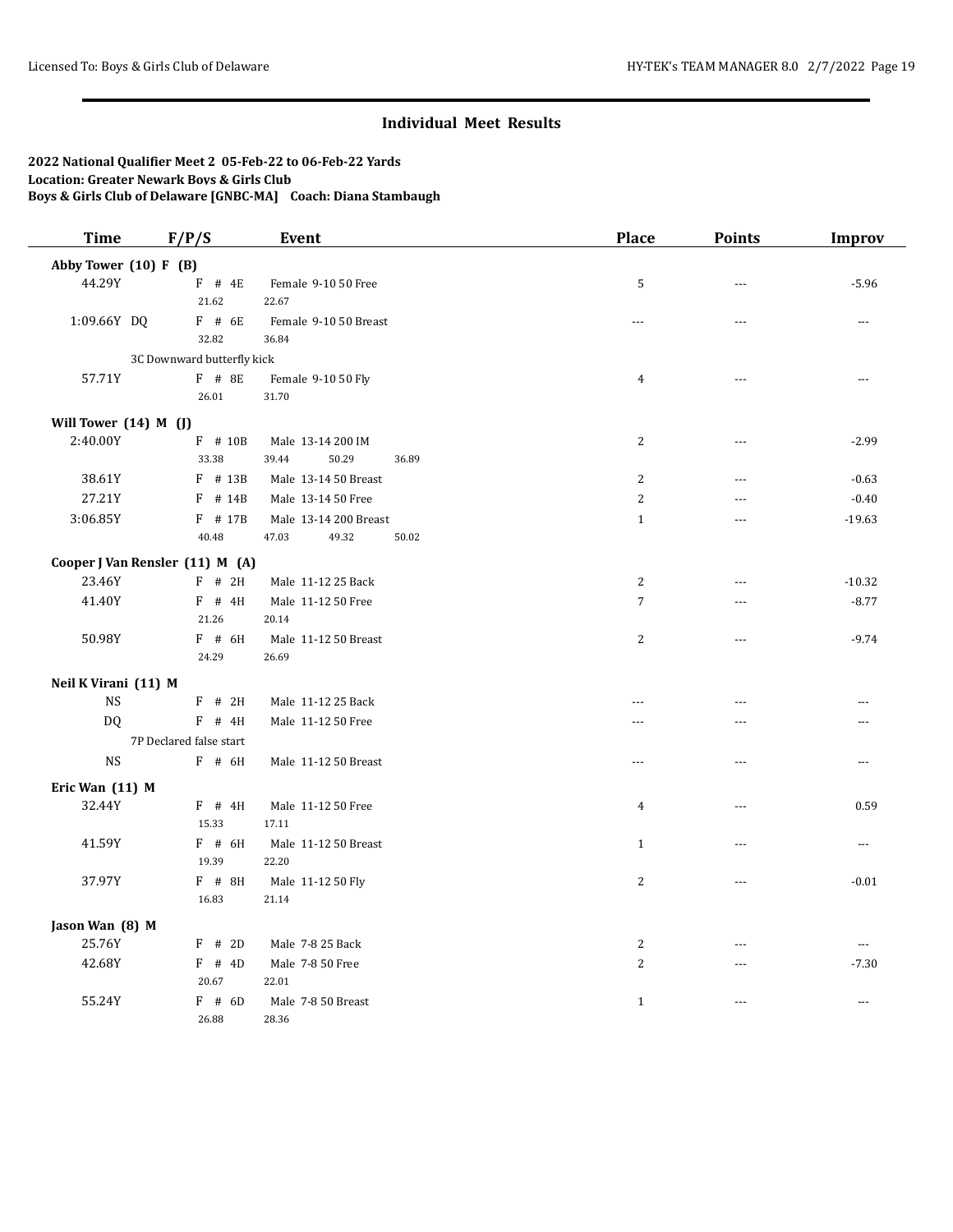| <b>Time</b>               | F/P/S                           | Event                       |       | <b>Place</b>   | <b>Points</b>  | <b>Improv</b>            |
|---------------------------|---------------------------------|-----------------------------|-------|----------------|----------------|--------------------------|
| Abby Tower $(10)$ F $(B)$ |                                 |                             |       |                |                |                          |
| 44.29Y                    | $F$ # 4E                        | Female 9-10 50 Free         |       | 5              | $-$            | $-5.96$                  |
|                           | 21.62                           | 22.67                       |       |                |                |                          |
| 1:09.66Y DQ               | F # 6E                          | Female 9-10 50 Breast       |       | $\cdots$       | $---$          | ---                      |
|                           | 32.82                           | 36.84                       |       |                |                |                          |
|                           | 3C Downward butterfly kick      |                             |       |                |                |                          |
| 57.71Y                    | F # 8E                          | Female 9-10 50 Fly          |       | $\overline{4}$ |                |                          |
|                           | 26.01                           | 31.70                       |       |                |                |                          |
| Will Tower (14) M (J)     |                                 |                             |       |                |                |                          |
| 2:40.00Y                  | F # 10B                         | Male 13-14 200 IM           |       | $\overline{2}$ | $- - -$        | $-2.99$                  |
|                           | 33.38                           | 50.29<br>39.44              | 36.89 |                |                |                          |
| 38.61Y                    | $F$ # 13B                       | Male 13-14 50 Breast        |       | $\overline{2}$ | $\sim$         | $-0.63$                  |
| 27.21Y                    | $F$ # 14B                       | Male 13-14 50 Free          |       | $\overline{2}$ | ---            | $-0.40$                  |
| 3:06.85Y                  | F # 17B                         | Male 13-14 200 Breast       |       | $\mathbf{1}$   | $\sim$         | $-19.63$                 |
|                           | 40.48                           | 49.32<br>47.03              | 50.02 |                |                |                          |
|                           | Cooper J Van Rensler (11) M (A) |                             |       |                |                |                          |
| 23.46Y                    | $F$ # 2H                        | Male 11-12 25 Back          |       | 2              | ---            | $-10.32$                 |
| 41.40Y                    | $F$ # 4H                        | Male 11-12 50 Free          |       | $\overline{7}$ | $\overline{a}$ | $-8.77$                  |
|                           | 21.26                           | 20.14                       |       |                |                |                          |
| 50.98Y                    | F # 6H                          | Male 11-12 50 Breast        |       | 2              | $\overline{a}$ | $-9.74$                  |
|                           | 24.29                           | 26.69                       |       |                |                |                          |
| Neil K Virani (11) M      |                                 |                             |       |                |                |                          |
| <b>NS</b>                 | $F$ # 2H                        | Male 11-12 25 Back          |       | $\overline{a}$ | $\sim$         | $\overline{a}$           |
| DQ.                       | $F$ # 4H                        | Male 11-12 50 Free          |       | $\overline{a}$ |                |                          |
|                           | 7P Declared false start         |                             |       |                |                |                          |
| <b>NS</b>                 | $F$ # 6H                        | Male 11-12 50 Breast        |       | $\overline{a}$ | $---$          | ---                      |
|                           |                                 |                             |       |                |                |                          |
| Eric Wan (11) M           |                                 |                             |       |                |                |                          |
| 32.44Y                    | $F$ # 4H<br>15.33               | Male 11-12 50 Free<br>17.11 |       | $\overline{4}$ | $\sim$ $\sim$  | 0.59                     |
| 41.59Y                    | $F$ # 6H                        | Male 11-12 50 Breast        |       | $\mathbf{1}$   | ---            | ---                      |
|                           | 19.39                           | 22.20                       |       |                |                |                          |
| 37.97Y                    | $F$ # 8H                        | Male 11-12 50 Fly           |       | $\overline{2}$ | $\overline{a}$ | $-0.01$                  |
|                           | 16.83                           | 21.14                       |       |                |                |                          |
|                           |                                 |                             |       |                |                |                          |
| Jason Wan (8) M           |                                 |                             |       |                |                |                          |
| 25.76Y                    | $F$ # 2D                        | Male 7-8 25 Back            |       | 2              | $-$            | $\overline{\phantom{a}}$ |
| 42.68Y                    | $F$ # 4D                        | Male 7-8 50 Free            |       | $\overline{2}$ | $---$          | $-7.30$                  |
|                           | 20.67                           | 22.01                       |       |                |                |                          |
| 55.24Y                    | $F$ # 6D<br>26.88               | Male 7-8 50 Breast<br>28.36 |       | $\mathbf{1}$   | $\sim$         | ---                      |
|                           |                                 |                             |       |                |                |                          |